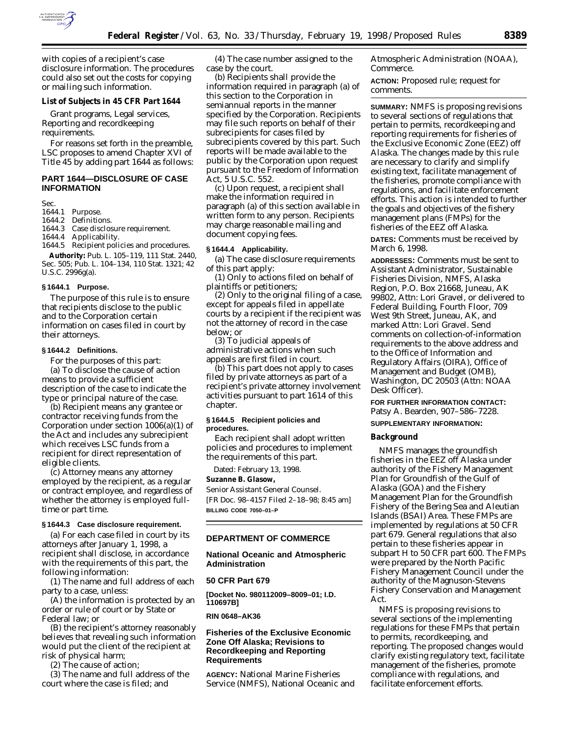

with copies of a recipient's case disclosure information. The procedures could also set out the costs for copying or mailing such information.

#### **List of Subjects in 45 CFR Part 1644**

Grant programs, Legal services, Reporting and recordkeeping requirements.

For reasons set forth in the preamble, LSC proposes to amend Chapter XVI of Title 45 by adding part 1644 as follows:

## **PART 1644—DISCLOSURE OF CASE INFORMATION**

Sec.

## 1644.1 Purpose.

- 1644.2 Definitions.<br>1644.3 Case disclos
- Case disclosure requirement.

1644.4 Applicability.

1644.5 Recipient policies and procedures. **Authority:** Pub. L. 105–119, 111 Stat. 2440, Sec. 505; Pub. L. 104–134, 110 Stat. 1321; 42 U.S.C. 2996g(a).

### **§ 1644.1 Purpose.**

The purpose of this rule is to ensure that recipients disclose to the public and to the Corporation certain information on cases filed in court by their attorneys.

#### **§ 1644.2 Definitions.**

For the purposes of this part:

(a) *To disclose the cause of action* means to provide a sufficient description of the case to indicate the type or principal nature of the case.

(b) *Recipient* means any grantee or contractor receiving funds from the Corporation under section 1006(a)(1) of the Act and includes any subrecipient which receives LSC funds from a recipient for direct representation of eligible clients.

(c) *Attorney* means any attorney employed by the recipient, as a regular or contract employee, and regardless of whether the attorney is employed fulltime or part time.

#### **§ 1644.3 Case disclosure requirement.**

(a) For each case filed in court by its attorneys after January 1, 1998, a recipient shall disclose, in accordance with the requirements of this part, the following information:

(1) The name and full address of each party to a case, unless:

(A) the information is protected by an order or rule of court or by State or Federal law; or

(B) the recipient's attorney reasonably believes that revealing such information would put the client of the recipient at risk of physical harm;

(2) The cause of action;

(3) The name and full address of the court where the case is filed; and

(4) The case number assigned to the case by the court.

(b) Recipients shall provide the information required in paragraph (a) of this section to the Corporation in semiannual reports in the manner specified by the Corporation. Recipients may file such reports on behalf of their subrecipients for cases filed by subrecipients covered by this part. Such reports will be made available to the public by the Corporation upon request pursuant to the Freedom of Information Act, 5 U.S.C. 552.

(c) Upon request, a recipient shall make the information required in paragraph (a) of this section available in written form to any person. Recipients may charge reasonable mailing and document copying fees.

### **§ 1644.4 Applicability.**

(a) The case disclosure requirements of this part apply:

(1) Only to actions filed on behalf of plaintiffs or petitioners;

(2) Only to the original filing of a case, except for appeals filed in appellate courts by a recipient if the recipient was not the attorney of record in the case below; or

(3) To judicial appeals of administrative actions when such appeals are first filed in court.

(b) This part does not apply to cases filed by private attorneys as part of a recipient's private attorney involvement activities pursuant to part 1614 of this chapter.

## **§ 1644.5 Recipient policies and procedures.**

Each recipient shall adopt written policies and procedures to implement the requirements of this part.

Dated: February 13, 1998.

#### **Suzanne B. Glasow,**

*Senior Assistant General Counsel.* [FR Doc. 98–4157 Filed 2–18–98; 8:45 am] **BILLING CODE 7050–01–P**

#### **DEPARTMENT OF COMMERCE**

## **National Oceanic and Atmospheric Administration**

### **50 CFR Part 679**

**[Docket No. 980112009–8009–01; I.D. 110697B]**

**RIN 0648–AK36**

## **Fisheries of the Exclusive Economic Zone Off Alaska; Revisions to Recordkeeping and Reporting Requirements**

**AGENCY:** National Marine Fisheries Service (NMFS), National Oceanic and Atmospheric Administration (NOAA), Commerce.

**ACTION:** Proposed rule; request for comments.

**SUMMARY:** NMFS is proposing revisions to several sections of regulations that pertain to permits, recordkeeping and reporting requirements for fisheries of the Exclusive Economic Zone (EEZ) off Alaska. The changes made by this rule are necessary to clarify and simplify existing text, facilitate management of the fisheries, promote compliance with regulations, and facilitate enforcement efforts. This action is intended to further the goals and objectives of the fishery management plans (FMPs) for the fisheries of the EEZ off Alaska.

**DATES:** Comments must be received by March 6, 1998.

**ADDRESSES:** Comments must be sent to Assistant Administrator, Sustainable Fisheries Division, NMFS, Alaska Region, P.O. Box 21668, Juneau, AK 99802, Attn: Lori Gravel, or delivered to Federal Building, Fourth Floor, 709 West 9th Street, Juneau, AK, and marked Attn: Lori Gravel. Send comments on collection-of-information requirements to the above address and to the Office of Information and Regulatory Affairs (OIRA), Office of Management and Budget (OMB), Washington, DC 20503 (Attn: NOAA Desk Officer).

**FOR FURTHER INFORMATION CONTACT:** Patsy A. Bearden, 907–586–7228.

## **SUPPLEMENTARY INFORMATION:**

#### **Background**

NMFS manages the groundfish fisheries in the EEZ off Alaska under authority of the Fishery Management Plan for Groundfish of the Gulf of Alaska (GOA) and the Fishery Management Plan for the Groundfish Fishery of the Bering Sea and Aleutian Islands (BSAI) Area. These FMPs are implemented by regulations at 50 CFR part 679. General regulations that also pertain to these fisheries appear in subpart H to 50 CFR part 600. The FMPs were prepared by the North Pacific Fishery Management Council under the authority of the Magnuson-Stevens Fishery Conservation and Management Act.

NMFS is proposing revisions to several sections of the implementing regulations for these FMPs that pertain to permits, recordkeeping, and reporting. The proposed changes would clarify existing regulatory text, facilitate management of the fisheries, promote compliance with regulations, and facilitate enforcement efforts.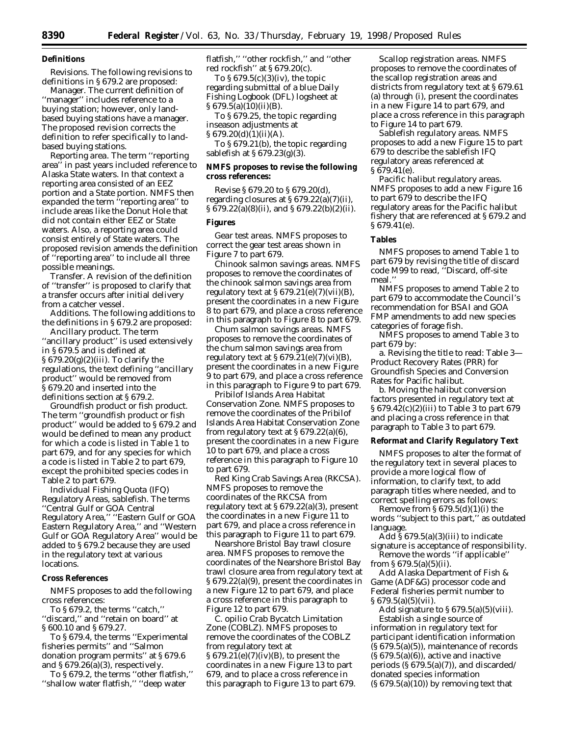## **Definitions**

*Revisions.* The following revisions to definitions in § 679.2 are proposed:

*Manager.* The current definition of ''manager'' includes reference to a buying station; however, only landbased buying stations have a manager. The proposed revision corrects the definition to refer specifically to landbased buying stations.

*Reporting area.* The term ''reporting area'' in past years included reference to Alaska State waters. In that context a reporting area consisted of an EEZ portion and a State portion. NMFS then expanded the term ''reporting area'' to include areas like the Donut Hole that did not contain either EEZ or State waters. Also, a reporting area could consist entirely of State waters. The proposed revision amends the definition of ''reporting area'' to include all three possible meanings.

*Transfer.* A revision of the definition of ''transfer'' is proposed to clarify that a transfer occurs after initial delivery from a catcher vessel.

*Additions.* The following additions to the definitions in § 679.2 are proposed:

*Ancillary product.* The term ''ancillary product'' is used extensively in § 679.5 and is defined at § 679.20(g)(2)(iii). To clarify the regulations, the text defining ''ancillary product'' would be removed from § 679.20 and inserted into the definitions section at § 679.2.

*Groundfish product or fish product.* The term ''groundfish product or fish product'' would be added to § 679.2 and would be defined to mean any product for which a code is listed in Table 1 to part 679, and for any species for which a code is listed in Table 2 to part 679, except the prohibited species codes in Table 2 to part 679.

*Individual Fishing Quota (IFQ) Regulatory Areas, sablefish.* The terms ''Central Gulf or GOA Central Regulatory Area,'' ''Eastern Gulf or GOA Eastern Regulatory Area,'' and ''Western Gulf or GOA Regulatory Area'' would be added to § 679.2 because they are used in the regulatory text at various locations.

#### **Cross References**

NMFS proposes to add the following cross references:

To § 679.2, the terms ''catch,'' ''discard,'' and ''retain on board'' at § 600.10 and § 679.27.

To § 679.4, the terms ''Experimental fisheries permits'' and ''Salmon donation program permits'' at § 679.6 and § 679.26(a)(3), respectively.

To § 679.2, the terms ''other flatfish,'' ''shallow water flatfish,'' ''deep water

flatfish,'' ''other rockfish,'' and ''other red rockfish'' at § 679.20(c).

To § 679.5(c)(3)(iv), the topic regarding submittal of a blue Daily Fishing Logbook (DFL) logsheet at § 679.5(a)(10)(ii)(B).

To § 679.25, the topic regarding inseason adjustments at  $§ 679.20(d)(1)(ii)(A).$ 

To § 679.21(b), the topic regarding sablefish at § 679.23(g)(3).

## **NMFS proposes to revise the following cross references:**

Revise § 679.20 to § 679.20(d), regarding closures at § 679.22(a)(7)(ii),  $\S 679.22(a)(8)(ii)$ , and  $\S 679.22(b)(2)(ii)$ .

#### **Figures**

*Gear test areas.* NMFS proposes to correct the gear test areas shown in Figure 7 to part 679.

*Chinook salmon savings areas.* NMFS proposes to remove the coordinates of the chinook salmon savings area from regulatory text at  $\S 679.21(e)(7)(vii)(B)$ , present the coordinates in a new Figure 8 to part 679, and place a cross reference in this paragraph to Figure 8 to part 679.

*Chum salmon savings areas.* NMFS proposes to remove the coordinates of the chum salmon savings area from regulatory text at  $\S 679.21(e)(7)(vi)(B)$ , present the coordinates in a new Figure 9 to part 679, and place a cross reference in this paragraph to Figure 9 to part 679.

*Pribilof Islands Area Habitat Conservation Zone.* NMFS proposes to remove the coordinates of the Pribilof Islands Area Habitat Conservation Zone from regulatory text at  $\S 679.22(a)(6)$ , present the coordinates in a new Figure 10 to part 679, and place a cross reference in this paragraph to Figure 10 to part 679.

*Red King Crab Savings Area (RKCSA).* NMFS proposes to remove the coordinates of the RKCSA from regulatory text at § 679.22(a)(3), present the coordinates in a new Figure 11 to part 679, and place a cross reference in this paragraph to Figure 11 to part 679.

*Nearshore Bristol Bay trawl closure area.* NMFS proposes to remove the coordinates of the Nearshore Bristol Bay trawl closure area from regulatory text at § 679.22(a)(9), present the coordinates in a new Figure 12 to part 679, and place a cross reference in this paragraph to Figure 12 to part 679.

*C. opilio Crab Bycatch Limitation Zone (COBLZ).* NMFS proposes to remove the coordinates of the COBLZ from regulatory text at  $§ 679.21(e)(7)(iv)(B)$ , to present the coordinates in a new Figure 13 to part 679, and to place a cross reference in this paragraph to Figure 13 to part 679.

*Scallop registration areas.* NMFS proposes to remove the coordinates of the scallop registration areas and districts from regulatory text at § 679.61 (a) through (i), present the coordinates in a new Figure 14 to part 679, and place a cross reference in this paragraph to Figure 14 to part 679.

*Sablefish regulatory areas.* NMFS proposes to add a new Figure 15 to part 679 to describe the sablefish IFQ regulatory areas referenced at § 679.41(e).

*Pacific halibut regulatory areas.* NMFS proposes to add a new Figure 16 to part 679 to describe the IFQ regulatory areas for the Pacific halibut fishery that are referenced at § 679.2 and § 679.41(e).

### **Tables**

NMFS proposes to amend Table 1 to part 679 by revising the title of discard code M99 to read, ''Discard, off-site meal.''

NMFS proposes to amend Table 2 to part 679 to accommodate the Council's recommendation for BSAI and GOA FMP amendments to add new species categories of forage fish.

NMFS proposes to amend Table 3 to part 679 by:

a. Revising the title to read: Table 3— Product Recovery Rates (PRR) for Groundfish Species and Conversion Rates for Pacific halibut.

b. Moving the halibut conversion factors presented in regulatory text at § 679.42(c)(2)(iii) to Table 3 to part 679 and placing a cross reference in that paragraph to Table 3 to part 679.

## **Reformat and Clarify Regulatory Text**

NMFS proposes to alter the format of the regulatory text in several places to provide a more logical flow of information, to clarify text, to add paragraph titles where needed, and to correct spelling errors as follows:

Remove from  $\S 679.5(d)(1)(i)$  the words ''subject to this part,'' as outdated language.

 $\overline{\text{Add}}$  § 679.5(a)(3)(iii) to indicate signature is acceptance of responsibility. Remove the words ''if applicable''

from  $\S 679.5(a)(5)(ii)$ .

Add Alaska Department of Fish & Game (ADF&G) processor code and Federal fisheries permit number to  $§ 679.5(a)(5)(vii).$ 

Add signature to  $\S 679.5(a)(5)(viii)$ . Establish a single source of information in regulatory text for participant identification information  $(S 679.5(a)(5))$ , maintenance of records  $(S 679.5(a)(6))$ , active and inactive periods  $(S679.5(a)(7))$ , and discarded/ donated species information  $(S 679.5(a)(10))$  by removing text that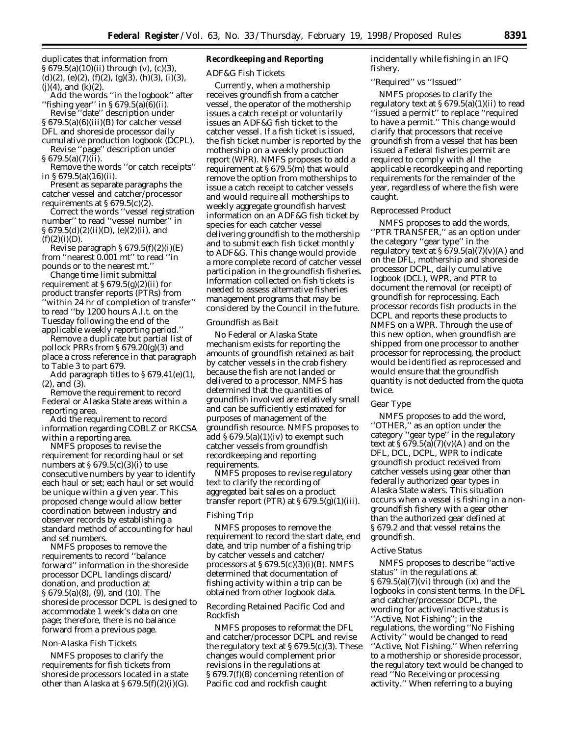duplicates that information from § 679.5(a)(10)(ii) through (v), (c)(3),  $(d)(2)$ ,  $(e)(2)$ ,  $(f)(2)$ ,  $(g)(3)$ ,  $(h)(3)$ ,  $(i)(3)$ ,  $(j)(4)$ , and  $(k)(2)$ .

Add the words ''in the logbook'' after ''fishing year'' in § 679.5(a)(6)(ii).

Revise ''date'' description under § 679.5(a)(6)(iii)(B) for catcher vessel DFL and shoreside processor daily cumulative production logbook (DCPL).

Revise ''page'' description under § 679.5(a)(7)(ii).

Remove the words ''or catch receipts'' in § 679.5(a)(16)(ii).

Present as separate paragraphs the catcher vessel and catcher/processor requirements at  $\S 679.5(c)(\overline{2})$ .

Correct the words ''vessel registration number'' to read ''vessel number'' in § 679.5(d)(2)(ii)(D), (e)(2)(ii), and  $(f)(2)(i)(D)$ .

Revise paragraph § 679.5(f)(2)(i)(E) from ''nearest 0.001 mt'' to read ''in pounds or to the nearest mt.''

Change time limit submittal requirement at  $\S 679.5(g)(2)(ii)$  for product transfer reports (PTRs) from 'within 24 hr of completion of transfer" to read ''by 1200 hours A.l.t. on the Tuesday following the end of the applicable weekly reporting period.''

Remove a duplicate but partial list of pollock PRRs from § 679.20(g)(3) and place a cross reference in that paragraph to Table 3 to part 679.

Add paragraph titles to § 679.41(e)(1), (2), and (3).

Remove the requirement to record Federal or Alaska State areas within a reporting area.

Add the requirement to record information regarding COBLZ or RKCSA within a reporting area.

NMFS proposes to revise the requirement for recording haul or set numbers at  $\S 679.5(c)(3)(i)$  to use consecutive numbers by year to identify each haul or set; each haul or set would be unique within a given year. This proposed change would allow better coordination between industry and observer records by establishing a standard method of accounting for haul and set numbers.

NMFS proposes to remove the requirements to record ''balance forward'' information in the shoreside processor DCPL landings discard/ donation, and production at § 679.5(a)(8), (9), and (10). The shoreside processor DCPL is designed to accommodate 1 week's data on one page; therefore, there is no balance forward from a previous page.

### *Non-Alaska Fish Tickets*

NMFS proposes to clarify the requirements for fish tickets from shoreside processors located in a state other than Alaska at  $\S 679.5(f)(2)(i)(G)$ .

## **Recordkeeping and Reporting**

#### *ADF&G Fish Tickets*

Currently, when a mothership receives groundfish from a catcher vessel, the operator of the mothership issues a catch receipt or voluntarily issues an ADF&G fish ticket to the catcher vessel. If a fish ticket is issued, the fish ticket number is reported by the mothership on a weekly production report (WPR). NMFS proposes to add a requirement at § 679.5(m) that would remove the option from motherships to issue a catch receipt to catcher vessels and would require all motherships to weekly aggregate groundfish harvest information on an ADF&G fish ticket by species for each catcher vessel delivering groundfish to the mothership and to submit each fish ticket monthly to ADF&G. This change would provide a more complete record of catcher vessel participation in the groundfish fisheries. Information collected on fish tickets is needed to assess alternative fisheries management programs that may be considered by the Council in the future.

#### *Groundfish as Bait*

No Federal or Alaska State mechanism exists for reporting the amounts of groundfish retained as bait by catcher vessels in the crab fishery because the fish are not landed or delivered to a processor. NMFS has determined that the quantities of groundfish involved are relatively small and can be sufficiently estimated for purposes of management of the groundfish resource. NMFS proposes to add  $\S 679.5(a)(1)(iv)$  to exempt such catcher vessels from groundfish recordkeeping and reporting requirements.

NMFS proposes to revise regulatory text to clarify the recording of aggregated bait sales on a product transfer report (PTR) at  $\S 679.5(g)(1)(iii)$ .

## *Fishing Trip*

NMFS proposes to remove the requirement to record the start date, end date, and trip number of a fishing trip by catcher vessels and catcher/ processors at  $\S 679.5(c)(3)(i)(B)$ . NMFS determined that documentation of fishing activity within a trip can be obtained from other logbook data.

## *Recording Retained Pacific Cod and Rockfish*

NMFS proposes to reformat the DFL and catcher/processor DCPL and revise the regulatory text at  $\S 679.5(c)(3)$ . These changes would complement prior revisions in the regulations at § 679.7(f)(8) concerning retention of Pacific cod and rockfish caught

incidentally while fishing in an IFQ fishery.

## *''Required'' vs ''Issued''*

NMFS proposes to clarify the regulatory text at  $\S 679.5(a)(1)(ii)$  to read ''issued a permit'' to replace ''required to have a permit.'' This change would clarify that processors that receive groundfish from a vessel that has been issued a Federal fisheries permit are required to comply with all the applicable recordkeeping and reporting requirements for the remainder of the year, regardless of where the fish were caught.

## *Reprocessed Product*

NMFS proposes to add the words, ''PTR TRANSFER,'' as an option under the category ''gear type'' in the regulatory text at  $\S 679.5(a)(7)(v)(A)$  and on the DFL, mothership and shoreside processor DCPL, daily cumulative logbook (DCL), WPR, and PTR to document the removal (or receipt) of groundfish for reprocessing. Each processor records fish products in the DCPL and reports these products to NMFS on a WPR. Through the use of this new option, when groundfish are shipped from one processor to another processor for reprocessing, the product would be identified as reprocessed and would ensure that the groundfish quantity is not deducted from the quota twice.

#### *Gear Type*

NMFS proposes to add the word, ''OTHER,'' as an option under the category ''gear type'' in the regulatory text at  $\hat{S}$  679.5(a)(7)(v)(A) and on the DFL, DCL, DCPL, WPR to indicate groundfish product received from catcher vessels using gear other than federally authorized gear types in Alaska State waters. This situation occurs when a vessel is fishing in a nongroundfish fishery with a gear other than the authorized gear defined at § 679.2 and that vessel retains the groundfish.

#### *Active Status*

NMFS proposes to describe ''active status'' in the regulations at § 679.5(a)(7)(vi) through (ix) and the logbooks in consistent terms. In the DFL and catcher/processor DCPL, the wording for active/inactive status is ''Active, Not Fishing''; in the regulations, the wording ''No Fishing Activity'' would be changed to read ''Active, Not Fishing.'' When referring to a mothership or shoreside processor, the regulatory text would be changed to read ''No Receiving or processing activity.'' When referring to a buying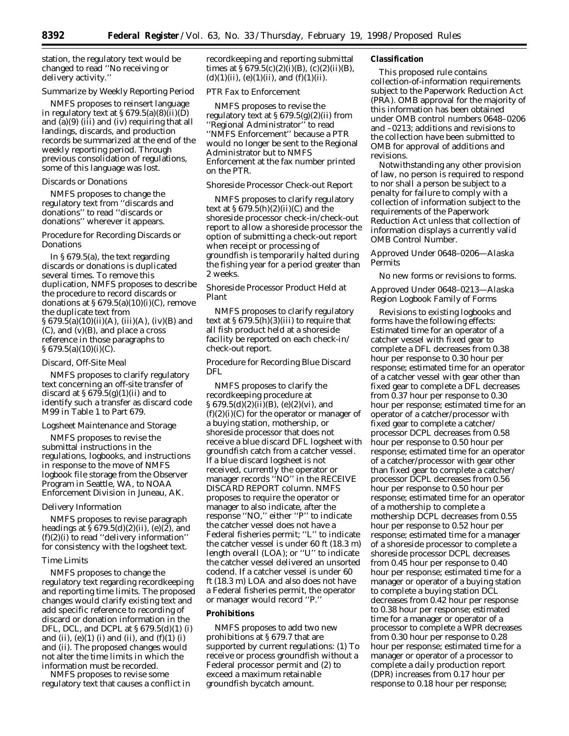station, the regulatory text would be changed to read ''No receiving or delivery activity.''

#### *Summarize by Weekly Reporting Period*

NMFS proposes to reinsert language in regulatory text at  $\S 679.5(a)(8)(ii)(D)$ and  $\overline{a}(9)$  (iii) and (iv) requiring that all landings, discards, and production records be summarized at the end of the weekly reporting period. Through previous consolidation of regulations, some of this language was lost.

## *Discards or Donations*

NMFS proposes to change the regulatory text from ''discards and donations'' to read ''discards or donations'' wherever it appears.

## *Procedure for Recording Discards or Donations*

In § 679.5(a), the text regarding discards or donations is duplicated several times. To remove this duplication, NMFS proposes to describe the procedure to record discards or donations at  $\S 679.5(a)(10)(i)(C)$ , remove the duplicate text from  $§ 679.5(a)(10)(ii)(A), (iii)(A), (iv)(B)$  and  $(C)$ , and  $(v)(B)$ , and place a cross reference in those paragraphs to  $§ 679.5(a)(10)(i)(C).$ 

### *Discard, Off-Site Meal*

NMFS proposes to clarify regulatory text concerning an off-site transfer of discard at  $\S 679.5(g)(1)(ii)$  and to identify such a transfer as discard code M99 in Table 1 to Part 679.

#### *Logsheet Maintenance and Storage*

NMFS proposes to revise the submittal instructions in the regulations, logbooks, and instructions in response to the move of NMFS logbook file storage from the Observer Program in Seattle, WA, to NOAA Enforcement Division in Juneau, AK.

#### *Delivery Information*

NMFS proposes to revise paragraph headings at  $\S 679.5(d)(2)(ii)$ , (e)(2), and  $(f)(2)(i)$  to read "delivery information" for consistency with the logsheet text.

#### *Time Limits*

NMFS proposes to change the regulatory text regarding recordkeeping and reporting time limits. The proposed changes would clarify existing text and add specific reference to recording of discard or donation information in the DFL, DCL, and DCPL at § 679.5(d)(1) (i) and (ii), (e)(1) (i) and (ii), and (f)(1) (i) and (ii). The proposed changes would not alter the time limits in which the information must be recorded.

NMFS proposes to revise some regulatory text that causes a conflict in recordkeeping and reporting submittal times at  $\S 679.5(c)(2)(i)(B)$ ,  $(c)(2)(ii)(B)$ ,  $(d)(1)(ii)$ ,  $(e)(1)(ii)$ , and  $(f)(1)(ii)$ .

## *PTR Fax to Enforcement*

NMFS proposes to revise the regulatory text at  $\S 679.5(g)(2)(ii)$  from ''Regional Administrator'' to read ''NMFS Enforcement'' because a PTR would no longer be sent to the Regional Administrator but to NMFS Enforcement at the fax number printed on the PTR.

#### *Shoreside Processor Check-out Report*

NMFS proposes to clarify regulatory text at  $\S 679.5(h)(2)(ii)(C)$  and the shoreside processor check-in/check-out report to allow a shoreside processor the option of submitting a check-out report when receipt or processing of groundfish is temporarily halted during the fishing year for a period greater than 2 weeks.

## *Shoreside Processor Product Held at Plant*

NMFS proposes to clarify regulatory text at  $\S 679.5(h)(3)(iii)$  to require that all fish product held at a shoreside facility be reported on each check-in/ check-out report.

## *Procedure for Recording Blue Discard DFL*

NMFS proposes to clarify the recordkeeping procedure at  $\S 679.5(d)(2)(ii)(B)$ , (e)(2)(vi), and  $(f)(2)(i)(C)$  for the operator or manager of a buying station, mothership, or shoreside processor that does not receive a blue discard DFL logsheet with groundfish catch from a catcher vessel. If a blue discard logsheet is not received, currently the operator or manager records ''NO'' in the RECEIVE DISCARD REPORT column. NMFS proposes to require the operator or manager to also indicate, after the response ''NO,'' either ''P'' to indicate the catcher vessel does not have a Federal fisheries permit; ''L'' to indicate the catcher vessel is under 60 ft (18.3 m) length overall (LOA); or ''U'' to indicate the catcher vessel delivered an unsorted codend. If a catcher vessel is under 60 ft (18.3 m) LOA and also does not have a Federal fisheries permit, the operator or manager would record ''P.''

### **Prohibitions**

NMFS proposes to add two new prohibitions at § 679.7 that are supported by current regulations: (1) To receive or process groundfish without a Federal processor permit and (2) to exceed a maximum retainable groundfish bycatch amount.

## **Classification**

This proposed rule contains collection-of-information requirements subject to the Paperwork Reduction Act (PRA). OMB approval for the majority of this information has been obtained under OMB control numbers 0648–0206 and –0213; additions and revisions to the collection have been submitted to OMB for approval of additions and revisions.

Notwithstanding any other provision of law, no person is required to respond to nor shall a person be subject to a penalty for failure to comply with a collection of information subject to the requirements of the Paperwork Reduction Act unless that collection of information displays a currently valid OMB Control Number.

## *Approved Under 0648–0206—Alaska Permits*

No new forms or revisions to forms.

## *Approved Under 0648–0213—Alaska Region Logbook Family of Forms*

Revisions to existing logbooks and forms have the following effects: Estimated time for an operator of a catcher vessel with fixed gear to complete a DFL decreases from 0.38 hour per response to 0.30 hour per response; estimated time for an operator of a catcher vessel with gear other than fixed gear to complete a DFL decreases from 0.37 hour per response to 0.30 hour per response; estimated time for an operator of a catcher/processor with fixed gear to complete a catcher/ processor DCPL decreases from 0.58 hour per response to 0.50 hour per response; estimated time for an operator of a catcher/processor with gear other than fixed gear to complete a catcher/ processor DCPL decreases from 0.56 hour per response to 0.50 hour per response; estimated time for an operator of a mothership to complete a mothership DCPL decreases from 0.55 hour per response to 0.52 hour per response; estimated time for a manager of a shoreside processor to complete a shoreside processor DCPL decreases from 0.45 hour per response to 0.40 hour per response; estimated time for a manager or operator of a buying station to complete a buying station DCL decreases from 0.42 hour per response to 0.38 hour per response; estimated time for a manager or operator of a processor to complete a WPR decreases from 0.30 hour per response to 0.28 hour per response; estimated time for a manager or operator of a processor to complete a daily production report (DPR) increases from 0.17 hour per response to 0.18 hour per response;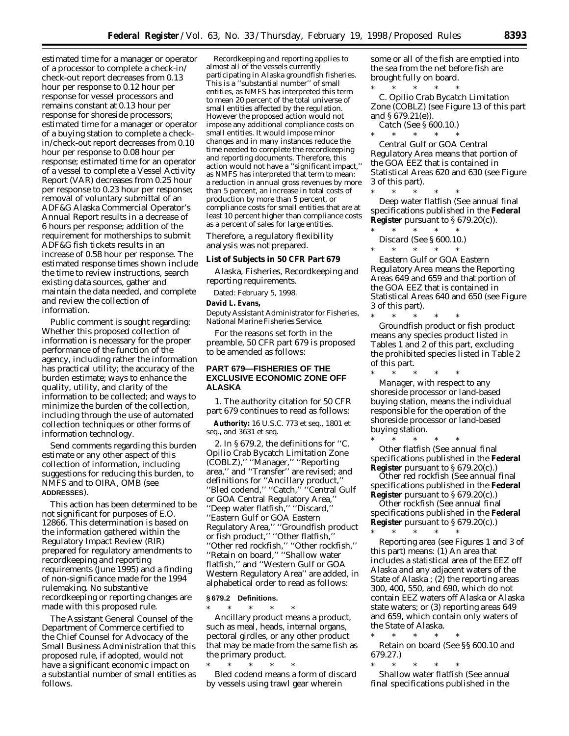estimated time for a manager or operator of a processor to complete a check-in/ check-out report decreases from 0.13 hour per response to 0.12 hour per response for vessel processors and remains constant at 0.13 hour per response for shoreside processors; estimated time for a manager or operator of a buying station to complete a checkin/check-out report decreases from 0.10 hour per response to 0.08 hour per response; estimated time for an operator of a vessel to complete a Vessel Activity Report (VAR) decreases from 0.25 hour per response to 0.23 hour per response; removal of voluntary submittal of an ADF&G Alaska Commercial Operator's Annual Report results in a decrease of 6 hours per response; addition of the requirement for motherships to submit ADF&G fish tickets results in an increase of 0.58 hour per response. The estimated response times shown include the time to review instructions, search existing data sources, gather and maintain the data needed, and complete and review the collection of information.

Public comment is sought regarding: Whether this proposed collection of information is necessary for the proper performance of the function of the agency, including rather the information has practical utility; the accuracy of the burden estimate; ways to enhance the quality, utility, and clarity of the information to be collected; and ways to minimize the burden of the collection, including through the use of automated collection techniques or other forms of information technology.

Send comments regarding this burden estimate or any other aspect of this collection of information, including suggestions for reducing this burden, to NMFS and to OIRA, OMB (see **ADDRESSES**).

This action has been determined to be not significant for purposes of E.O. 12866. This determination is based on the information gathered within the Regulatory Impact Review (RIR) prepared for regulatory amendments to recordkeeping and reporting requirements (June 1995) and a finding of non-significance made for the 1994 rulemaking. No substantive recordkeeping or reporting changes are made with this proposed rule.

The Assistant General Counsel of the Department of Commerce certified to the Chief Counsel for Advocacy of the Small Business Administration that this proposed rule, if adopted, would not have a significant economic impact on a substantial number of small entities as follows.

Recordkeeping and reporting applies to almost all of the vessels currently participating in Alaska groundfish fisheries. This is a ''substantial number'' of small entities, as NMFS has interpreted this term to mean 20 percent of the total universe of small entities affected by the regulation. However the proposed action would not impose any additional compliance costs on small entities. It would impose minor changes and in many instances reduce the time needed to complete the recordkeeping and reporting documents. Therefore, this action would not have a ''significant impact,'' as NMFS has interpreted that term to mean: a reduction in annual gross revenues by more than 5 percent, an increase in total costs of production by more than 5 percent, or compliance costs for small entities that are at least 10 percent higher than compliance costs as a percent of sales for large entities.

Therefore, a regulatory flexibility analysis was not prepared.

#### **List of Subjects in 50 CFR Part 679**

Alaska, Fisheries, Recordkeeping and reporting requirements.

Dated: February 5, 1998.

#### **David L. Evans,**

*Deputy Assistant Administrator for Fisheries, National Marine Fisheries Service.*

For the reasons set forth in the preamble, 50 CFR part 679 is proposed to be amended as follows:

## **PART 679—FISHERIES OF THE EXCLUSIVE ECONOMIC ZONE OFF ALASKA**

1. The authority citation for 50 CFR part 679 continues to read as follows:

**Authority:** 16 U.S.C. 773 *et seq.*, 1801 *et seq.*, and 3631 *et seq.*

2. In § 679.2, the definitions for ''C. Opilio Crab Bycatch Limitation Zone (COBLZ),'' ''Manager,'' ''Reporting area,'' and ''Transfer'' are revised; and definitions for ''Ancillary product,'' ''Bled codend,'' ''Catch,'' ''Central Gulf or GOA Central Regulatory Area,'' ''Deep water flatfish,'' ''Discard,'' ''Eastern Gulf or GOA Eastern Regulatory Area,'' ''Groundfish product or fish product,'' ''Other flatfish,'' ''Other red rockfish,'' ''Other rockfish,'' ''Retain on board,'' ''Shallow water flatfish,'' and ''Western Gulf or GOA Western Regulatory Area'' are added, in alphabetical order to read as follows:

## **§ 679.2 Definitions.**

\* \* \* \* \* *Ancillary product* means a product, such as meal, heads, internal organs, pectoral girdles, or any other product that may be made from the same fish as the primary product.

\* \* \* \* \* *Bled codend* means a form of discard by vessels using trawl gear wherein

some or all of the fish are emptied into the sea from the net before fish are brought fully on board.

\* \* \* \* \* *C. Opilio Crab Bycatch Limitation Zone (COBLZ)* (see Figure 13 of this part and § 679.21(e)).

*Catch* (See § 600.10.)

\* \* \* \* \* *Central Gulf or GOA Central Regulatory Area* means that portion of the GOA EEZ that is contained in Statistical Areas 620 and 630 (see Figure 3 of this part).

\* \* \* \* \* *Deep water flatfish* (See annual final specifications published in the **Federal Register** pursuant to § 679.20(c)). \* \* \* \* \*

- *Discard* (See § 600.10.)
- $*$  \* \*

*Eastern Gulf or GOA Eastern Regulatory Area* means the Reporting Areas 649 and 659 and that portion of the GOA EEZ that is contained in Statistical Areas 640 and 650 (see Figure 3 of this part).

\* \* \* \* \* *Groundfish product or fish product* means any species product listed in Tables 1 and 2 of this part, excluding the prohibited species listed in Table 2 of this part.

\* \* \* \* \* *Manager,* with respect to any shoreside processor or land-based buying station, means the individual responsible for the operation of the shoreside processor or land-based buying station.

\* \* \* \* \* *Other flatfish* (See annual final specifications published in the **Federal Register** pursuant to § 679.20(c).)

*Other red rockfish* (See annual final specifications published in the **Federal Register** pursuant to § 679.20(c).)

*Other rockfish* (See annual final specifications published in the **Federal Register** pursuant to § 679.20(c).)

\* \* \* \* \* *Reporting area* (see Figures 1 and 3 of this part) means: (1) An area that includes a statistical area of the EEZ off Alaska and any adjacent waters of the State of Alaska ; (2) the reporting areas 300, 400, 550, and 690, which do not contain EEZ waters off Alaska or Alaska state waters; or (3) reporting areas 649 and 659, which contain only waters of the State of Alaska.

\* \* \* \* \* *Retain on board* (See §§ 600.10 and 679.27.)

\* \* \* \* \* *Shallow water flatfish* (See annual final specifications published in the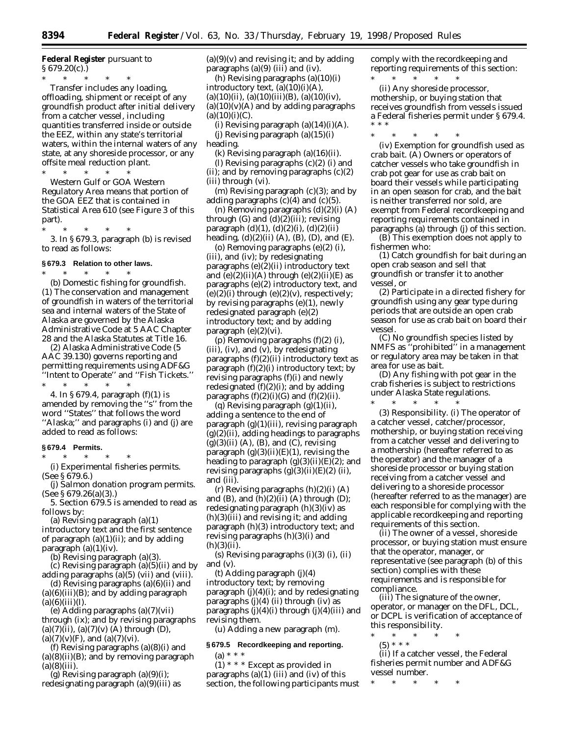**Federal Register** pursuant to  $§ 679.20(c).]$ 

\* \* \* \* \* *Transfer* includes any loading, offloading, shipment or receipt of any groundfish product after initial delivery from a catcher vessel, including quantities transferred inside or outside the EEZ, within any state's territorial waters, within the internal waters of any state, at any shoreside processor, or any offsite meal reduction plant.

\* \* \* \* \* *Western Gulf or GOA Western Regulatory Area* means that portion of the GOA EEZ that is contained in Statistical Area 610 (see Figure 3 of this part).

\* \* \* \* \* 3. In § 679.3, paragraph (b) is revised

to read as follows:

## **§ 679.3 Relation to other laws.**

\* \* \* \* \* (b) *Domestic fishing for groundfish.* (1) The conservation and management of groundfish in waters of the territorial sea and internal waters of the State of Alaska are governed by the Alaska Administrative Code at 5 AAC Chapter 28 and the Alaska Statutes at Title 16.

(2) Alaska Administrative Code (5 AAC 39.130) governs reporting and permitting requirements using ADF&G ''Intent to Operate'' and ''Fish Tickets.'' \* \* \* \* \*

4. In § 679.4, paragraph (f)(1) is amended by removing the ''s'' from the word ''States'' that follows the word ''Alaska;'' and paragraphs (i) and (j) are added to read as follows:

### **§ 679.4 Permits.**

 $*$  \* \* (i) *Experimental fisheries permits.*

(See § 679.6.) (j) *Salmon donation program permits.* (See § 679.26(a)(3).)

5. Section 679.5 is amended to read as follows by:

(a) Revising paragraph (a)(1)

introductory text and the first sentence of paragraph  $(a)(1)(ii)$ ; and by adding paragraph (a)(1)(iv).

(b) Revising paragraph (a)(3).

(c) Revising paragraph (a)(5)(ii) and by adding paragraphs (a)(5) (vii) and (viii).

(d) Revising paragraphs  $(a)(6)(ii)$  and  $(a)(6)(iii)(B)$ ; and by adding paragraph  $(a)(6)(iii)(I).$ 

(e) Adding paragraphs (a)(7)(vii) through (ix); and by revising paragraphs  $(a)(7)(ii)$ ,  $(a)(7)(v)$  (A) through (D),  $(a)(7)(v)(F)$ , and  $(a)(7)(vi)$ .

(f) Revising paragraphs (a)(8)(i) and  $(a)(8)(ii)(B)$ ; and by removing paragraph  $(a)(8)(iii)$ .

(g) Revising paragraph  $(a)(9)(i)$ ; redesignating paragraph (a)(9)(iii) as  $(a)(9)(v)$  and revising it; and by adding paragraphs  $(a)(9)$  (iii) and (iv).

(h) Revising paragraphs (a)(10)(i) introductory text, (a)(10)(i)(A),  $(a)(10)(ii)$ ,  $(a)(10)(iii)(B)$ ,  $(a)(10)(iv)$ ,  $(a)(10)(v)(A)$  and by adding paragraphs  $(a)(10)(i)(C)$ .

(i) Revising paragraph  $(a)(14)(i)(A)$ . (i) Revising paragraph  $(a)(15)(i)$ heading.

(k) Revising paragraph (a)(16)(ii).

(l) Revising paragraphs (c)(2) (i) and (ii); and by removing paragraphs (c)(2) (iii) through (vi).

(m) Revising paragraph (c)(3); and by adding paragraphs  $(c)(4)$  and  $(c)(5)$ .

(n) Removing paragraphs (d)(2)(i) (A) through  $(G)$  and  $(d)(2)(iii)$ ; revising paragraph (d)(1), (d)(2)(i), (d)(2)(ii) heading,  $(d)(2)(ii)$   $(A)$ ,  $(B)$ ,  $(D)$ , and  $(E)$ .

(o) Removing paragraphs (e)(2) (i), (iii), and (iv); by redesignating paragraphs (e)(2)(ii) introductory text and  $(e)(2)(ii)(A)$  through  $(e)(2)(ii)(E)$  as paragraphs (e)(2) introductory text, and  $(e)(2)(i)$  through  $(e)(2)(v)$ , respectively; by revising paragraphs (e)(1), newly redesignated paragraph (e)(2) introductory text; and by adding paragraph (e)(2)(vi).

(p) Removing paragraphs (f)(2) (i), (iii), (iv), and (v), by redesignating paragraphs  $(f)(2)(ii)$  introductory text as paragraph (f)(2)(i) introductory text; by revising paragraphs (f)(i) and newly redesignated  $(f)(2)(i)$ ; and by adding paragraphs  $(f)(2)(i)(G)$  and  $(f)(2)(ii)$ .

(q) Revising paragraph  $(g)(1)(ii)$ , adding a sentence to the end of paragraph (g)(1)(iii), revising paragraph  $(g)(2)(ii)$ , adding headings to paragraphs  $(g)(3)(ii)$  (A), (B), and (C), revising paragraph (g)(3)(ii)(E)(*1*), revising the heading to paragraph (g)(3)(ii)(E)(*2*); and revising paragraphs (g)(3)(ii)(E)(*2*) (*ii*), and (*iii*).

(r) Revising paragraphs  $(h)(2)(i)$  (A) and  $(B)$ , and  $(h)(2)(ii)$   $(A)$  through  $(D)$ ; redesignating paragraph  $(h)(3)(iv)$  as (h)(3)(iii) and revising it; and adding paragraph (h)(3) introductory text; and revising paragraphs (h)(3)(i) and  $(h)(3)(ii)$ .

(s) Revising paragraphs (i)(3) (i), (ii) and (v).

(t) Adding paragraph (j)(4) introductory text; by removing paragraph  $(j)(4)(i)$ ; and by redesignating paragraphs (j)(4) (ii) through (iv) as paragraphs  $(j)(4)(i)$  through  $(j)(4)(iii)$  and revising them.

(u) Adding a new paragraph (m).

## **§ 679.5 Recordkeeping and reporting.**

(a) \* \* \* (1) \* \* \* Except as provided in paragraphs  $(a)(1)$  (iii) and (iv) of this section, the following participants must comply with the recordkeeping and reporting requirements of this section:

\* \* \* \* \* (ii) Any shoreside processor, mothership, or buying station that receives groundfish from vessels issued a Federal fisheries permit under § 679.4. \* \* \*

\* \* \* \* \*

(iv) *Exemption for groundfish used as crab bait.* (A) Owners or operators of catcher vessels who take groundfish in crab pot gear for use as crab bait on board their vessels while participating in an open season for crab, and the bait is neither transferred nor sold, are exempt from Federal recordkeeping and reporting requirements contained in paragraphs (a) through (j) of this section.

(B) This exemption does not apply to fishermen who:

(*1*) Catch groundfish for bait during an open crab season and sell that groundfish or transfer it to another vessel, or

(*2*) Participate in a directed fishery for groundfish using any gear type during periods that are outside an open crab season for use as crab bait on board their vessel.

(C) No groundfish species listed by NMFS as ''prohibited'' in a management or regulatory area may be taken in that area for use as bait.

(D) Any fishing with pot gear in the crab fisheries is subject to restrictions under Alaska State regulations.

\* \* \* \* \* (3) *Responsibility.* (i) The operator of a catcher vessel, catcher/processor, mothership, or buying station receiving from a catcher vessel and delivering to a mothership (hereafter referred to as the operator) and the manager of a shoreside processor or buying station receiving from a catcher vessel and delivering to a shoreside processor (hereafter referred to as the manager) are each responsible for complying with the applicable recordkeeping and reporting requirements of this section.

(ii) The owner of a vessel, shoreside processor, or buying station must ensure that the operator, manager, or representative (see paragraph (b) of this section) complies with these requirements and is responsible for compliance.

(iii) The signature of the owner, operator, or manager on the DFL, DCL, or DCPL is verification of acceptance of this responsibility.

\* \* \* \* \* (5) \* \* \*

(ii) If a catcher vessel, the Federal fisheries permit number and ADF&G vessel number.

\* \* \* \* \*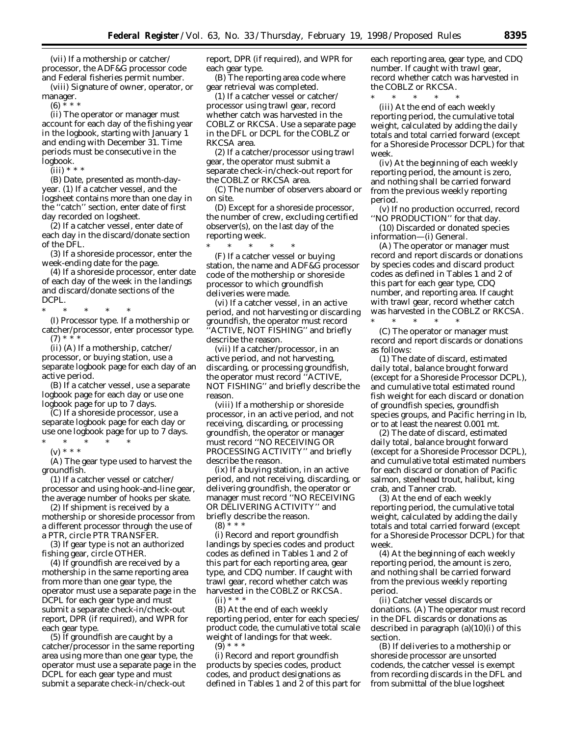(vii) If a mothership or catcher/ processor, the ADF&G processor code and Federal fisheries permit number.

(viii) Signature of owner, operator, or manager.

 $(6) * * * *$ 

(ii) The operator or manager must account for each day of the fishing year in the logbook, starting with January 1 and ending with December 31. Time periods must be consecutive in the logbook.

 $(iii) * * *$ 

(B) *Date,* presented as month-dayyear. (*1*) If a catcher vessel, and the logsheet contains more than one day in the ''catch'' section, enter date of first day recorded on logsheet.

(*2*) If a catcher vessel, enter date of each day in the discard/donate section of the DFL.

(*3*) If a shoreside processor, enter the week-ending date for the page.

(*4*) If a shoreside processor, enter date of each day of the week in the landings and discard/donate sections of the DCPL.

\* \* \* \* \* (I) *Processor type.* If a mothership or catcher/processor, enter processor type.  $(7) * * * *$ 

(ii) (A) If a mothership, catcher/ processor, or buying station, use a separate logbook page for each day of an active period.

(B) If a catcher vessel, use a separate logbook page for each day or use one logbook page for up to 7 days.

(C) If a shoreside processor, use a separate logbook page for each day or use one logbook page for up to 7 days.

\* \* \* \* \*

(v) \* \* \*

(A) The gear type used to harvest the groundfish.

(*1*) If a catcher vessel or catcher/ processor and using hook-and-line gear, the average number of hooks per skate.

(*2*) If shipment is received by a mothership or shoreside processor from a different processor through the use of a PTR, circle PTR TRANSFER.

(*3*) If gear type is not an authorized fishing gear, circle OTHER.

(*4*) If groundfish are received by a mothership in the same reporting area from more than one gear type, the operator must use a separate page in the DCPL for each gear type and must submit a separate check-in/check-out report, DPR (if required), and WPR for each gear type.

(*5*) If groundfish are caught by a catcher/processor in the same reporting area using more than one gear type, the operator must use a separate page in the DCPL for each gear type and must submit a separate check-in/check-out

report, DPR (if required), and WPR for each gear type.

(B) The reporting area code where gear retrieval was completed.

(*1*) If a catcher vessel or catcher/ processor using trawl gear, record whether catch was harvested in the COBLZ or RKCSA. Use a separate page in the DFL or DCPL for the COBLZ or RKCSA area.

(*2*) If a catcher/processor using trawl gear, the operator must submit a separate check-in/check-out report for the COBLZ or RKCSA area.

(C) The number of observers aboard or on site.

(D) Except for a shoreside processor, the number of crew, excluding certified observer(s), on the last day of the reporting week.

\* \* \* \* \* (F) If a catcher vessel or buying station, the name and ADF&G processor code of the mothership or shoreside processor to which groundfish deliveries were made.

(vi) If a catcher vessel, in an active period, and not harvesting or discarding groundfish, the operator must record ''ACTIVE, NOT FISHING'' and briefly describe the reason.

(vii) If a catcher/processor, in an active period, and not harvesting, discarding, or processing groundfish, the operator must record ''ACTIVE, NOT FISHING'' and briefly describe the reason.

(viii) If a mothership or shoreside processor, in an active period, and not receiving, discarding, or processing groundfish, the operator or manager must record ''NO RECEIVING OR PROCESSING ACTIVITY'' and briefly describe the reason.

(ix) If a buying station, in an active period, and not receiving, discarding, or delivering groundfish, the operator or manager must record ''NO RECEIVING OR DELIVERING ACTIVITY'' and briefly describe the reason.

 $(8)$  \* \* \*

(i) Record and report groundfish landings by species codes and product codes as defined in Tables 1 and 2 of this part for each reporting area, gear type, and CDQ number. If caught with trawl gear, record whether catch was harvested in the COBLZ or RKCSA.  $(ii)$  \* \* \*

(B) At the end of each weekly reporting period, enter for each species/ product code, the cumulative total scale weight of landings for that week. (9) \* \* \*

(i) Record and report groundfish products by species codes, product codes, and product designations as defined in Tables 1 and 2 of this part for each reporting area, gear type, and CDQ number. If caught with trawl gear, record whether catch was harvested in the COBLZ or RKCSA.

\* \* \* \* \*

(iii) At the end of each weekly reporting period, the cumulative total weight, calculated by adding the daily totals and total carried forward (except for a Shoreside Processor DCPL) for that week.

(iv) At the beginning of each weekly reporting period, the amount is zero, and nothing shall be carried forward from the previous weekly reporting period.

(v) If no production occurred, record ''NO PRODUCTION'' for that day.

(10) *Discarded or donated species information—*(i) *General.*

(A) The operator or manager must record and report discards or donations by species codes and discard product codes as defined in Tables 1 and 2 of this part for each gear type, CDQ number, and reporting area. If caught with trawl gear, record whether catch was harvested in the COBLZ or RKCSA. \* \* \* \* \*

(C) The operator or manager must record and report discards or donations as follows:

(*1*) The date of discard, estimated daily total, balance brought forward (except for a Shoreside Processor DCPL), and cumulative total estimated round fish weight for each discard or donation of groundfish species, groundfish species groups, and Pacific herring in lb, or to at least the nearest 0.001 mt.

(*2*) The date of discard, estimated daily total, balance brought forward (except for a Shoreside Processor DCPL), and cumulative total estimated numbers for each discard or donation of Pacific salmon, steelhead trout, halibut, king crab, and Tanner crab.

(*3*) At the end of each weekly reporting period, the cumulative total weight, calculated by adding the daily totals and total carried forward (except for a Shoreside Processor DCPL) for that week.

(*4*) At the beginning of each weekly reporting period, the amount is zero, and nothing shall be carried forward from the previous weekly reporting period.

(ii) *Catcher vessel discards or donations.* (A) The operator must record in the DFL discards or donations as described in paragraph (a)(10)(i) of this section.

(B) If deliveries to a mothership or shoreside processor are unsorted codends, the catcher vessel is exempt from recording discards in the DFL and from submittal of the blue logsheet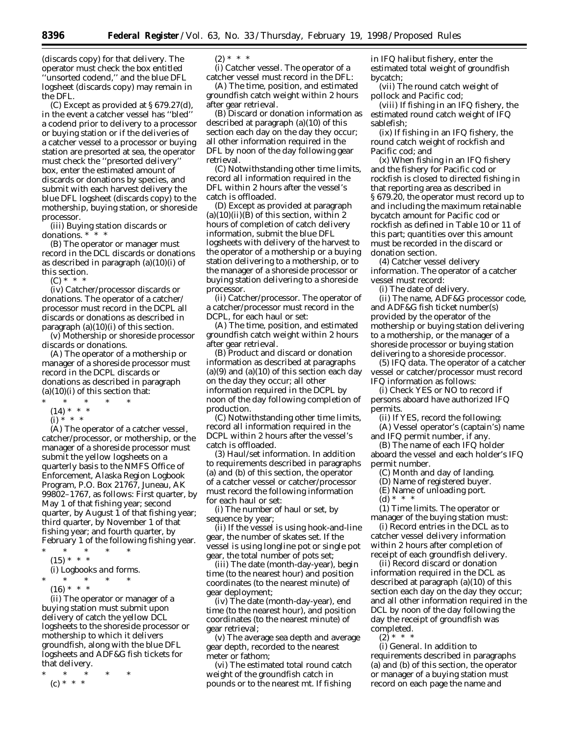(discards copy) for that delivery. The operator must check the box entitled 'unsorted codend," and the blue DFL logsheet (discards copy) may remain in the DFL.

(C) Except as provided at § 679.27(d), in the event a catcher vessel has ''bled'' a codend prior to delivery to a processor or buying station or if the deliveries of a catcher vessel to a processor or buying station are presorted at sea, the operator must check the ''presorted delivery'' box, enter the estimated amount of discards or donations by species, and submit with each harvest delivery the blue DFL logsheet (discards copy) to the mothership, buying station, or shoreside processor.

(iii) *Buying station discards or donations.* \* \* \*

(B) The operator or manager must record in the DCL discards or donations as described in paragraph (a)(10)(i) of this section.

 $(C) * *$ 

(iv) *Catcher/processor discards or donations.* The operator of a catcher/ processor must record in the DCPL all discards or donations as described in paragraph  $(a)(10)(i)$  of this section.

(v) *Mothership or shoreside processor discards or donations.*

(A) The operator of a mothership or manager of a shoreside processor must record in the DCPL discards or donations as described in paragraph  $(a)(10)(i)$  of this section that:

- \* \* \* \* \*
	- $(14) * * * *$
	- $(i) * * * *$

(A) The operator of a catcher vessel, catcher/processor, or mothership, or the manager of a shoreside processor must submit the yellow logsheets on a quarterly basis to the NMFS Office of Enforcement, Alaska Region Logbook Program, P.O. Box 21767, Juneau, AK 99802–1767, as follows: First quarter, by May 1 of that fishing year; second quarter, by August 1 of that fishing year; third quarter, by November 1 of that fishing year; and fourth quarter, by February 1 of the following fishing year.

- \* \* \* \* \*
- $(15) * * * *$

(i) *Logbooks and forms.*

\* \* \* \* \*

 $(16) * * * *$ 

(ii) The operator or manager of a buying station must submit upon delivery of catch the yellow DCL logsheets to the shoreside processor or mothership to which it delivers groundfish, along with the blue DFL logsheets and ADF&G fish tickets for that delivery.

\* \* \* \* \*

(c) \* \* \*

 $(2) * * * *$ 

(i) *Catcher vessel.* The operator of a catcher vessel must record in the DFL:

(A) The time, position, and estimated groundfish catch weight within 2 hours after gear retrieval.

(B) Discard or donation information as described at paragraph (a)(10) of this section each day on the day they occur; all other information required in the DFL by noon of the day following gear retrieval.

(C) Notwithstanding other time limits, record all information required in the DFL within 2 hours after the vessel's catch is offloaded.

(D) Except as provided at paragraph  $(a)(10)(ii)(B)$  of this section, within 2 hours of completion of catch delivery information, submit the blue DFL logsheets with delivery of the harvest to the operator of a mothership or a buying station delivering to a mothership, or to the manager of a shoreside processor or buying station delivering to a shoreside processor.

(ii) *Catcher/processor.* The operator of a catcher/processor must record in the DCPL, for each haul or set:

(A) The time, position, and estimated groundfish catch weight within 2 hours after gear retrieval.

(B) Product and discard or donation information as described at paragraphs  $(a)(9)$  and  $(a)(10)$  of this section each day on the day they occur; all other information required in the DCPL by noon of the day following completion of production.

(C) Notwithstanding other time limits, record all information required in the DCPL within 2 hours after the vessel's catch is offloaded.

(3) *Haul/set information.* In addition to requirements described in paragraphs (a) and (b) of this section, the operator of a catcher vessel or catcher/processor must record the following information for each haul or set:

(i) The number of haul or set, by sequence by year;

(ii) If the vessel is using hook-and-line gear, the number of skates set. If the vessel is using longline pot or single pot gear, the total number of pots set;

(iii) The date (month-day-year), begin time (to the nearest hour) and position coordinates (to the nearest minute) of gear deployment;

(iv) The date (month-day-year), end time (to the nearest hour), and position coordinates (to the nearest minute) of gear retrieval;

(v) The average sea depth and average gear depth, recorded to the nearest meter or fathom;

(vi) The estimated total round catch weight of the groundfish catch in pounds or to the nearest mt. If fishing

in IFQ halibut fishery, enter the estimated total weight of groundfish bycatch;

(vii) The round catch weight of pollock and Pacific cod;

(viii) If fishing in an IFQ fishery, the estimated round catch weight of IFQ sablefish;

(ix) If fishing in an IFQ fishery, the round catch weight of rockfish and Pacific cod; and

(x) When fishing in an IFQ fishery and the fishery for Pacific cod or rockfish is closed to directed fishing in that reporting area as described in § 679.20, the operator must record up to and including the maximum retainable bycatch amount for Pacific cod or rockfish as defined in Table 10 or 11 of this part; quantities over this amount must be recorded in the discard or donation section.

(4) *Catcher vessel delivery information.* The operator of a catcher vessel must record:

(i) The date of delivery.

(ii) The name, ADF&G processor code, and ADF&G fish ticket number(s) provided by the operator of the mothership or buying station delivering to a mothership, or the manager of a shoreside processor or buying station delivering to a shoreside processor.

(5) *IFQ data.* The operator of a catcher vessel or catcher/processor must record IFQ information as follows:

(i) Check YES or NO to record if persons aboard have authorized IFQ permits.

(ii) If YES, record the following:

(A) Vessel operator's (captain's) name

and IFQ permit number, if any. (B) The name of each IFQ holder

aboard the vessel and each holder's IFQ permit number.

- (C) Month and day of landing.
- (D) Name of registered buyer.

(E) Name of unloading port.

(d)  $*$  \* \*

(1) *Time limits.* The operator or manager of the buying station must:

(i) Record entries in the DCL as to catcher vessel delivery information within 2 hours after completion of receipt of each groundfish delivery.

(ii) Record discard or donation information required in the DCL as described at paragraph (a)(10) of this section each day on the day they occur; and all other information required in the DCL by noon of the day following the day the receipt of groundfish was completed.

 $(2)$  \* \*

(i) *General.* In addition to requirements described in paragraphs (a) and (b) of this section, the operator or manager of a buying station must record on each page the name and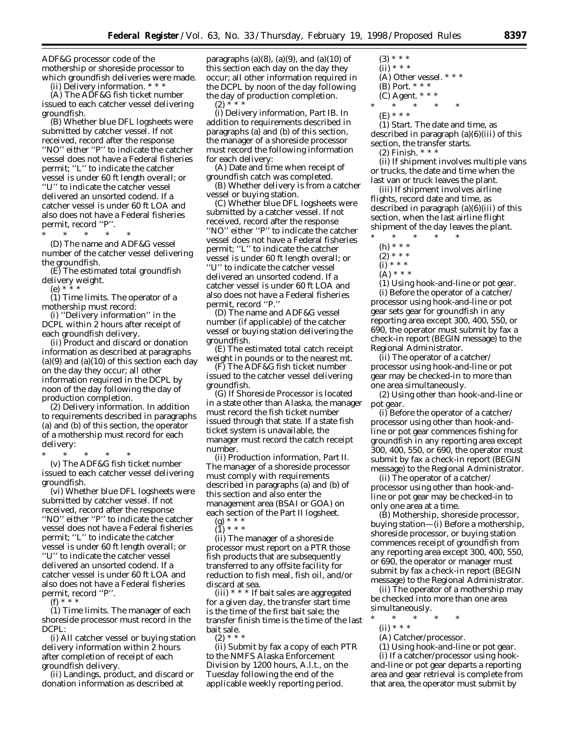ADF&G processor code of the mothership or shoreside processor to which groundfish deliveries were made.

(ii) *Delivery information.* \* \* \*

(A) The ADF&G fish ticket number issued to each catcher vessel delivering groundfish.

(B) Whether blue DFL logsheets were submitted by catcher vessel. If not received, record after the response ''NO'' either ''P'' to indicate the catcher vessel does not have a Federal fisheries permit; ''L'' to indicate the catcher vessel is under 60 ft length overall; or ''U'' to indicate the catcher vessel delivered an unsorted codend. If a catcher vessel is under 60 ft LOA and also does not have a Federal fisheries permit, record ''P''.

\* \* \* \* \* (D) The name and ADF&G vessel number of the catcher vessel delivering the groundfish.

(E) The estimated total groundfish delivery weight.

(e) \* \* \*

(1) *Time limits.* The operator of a mothership must record:

(i) ''Delivery information'' in the DCPL within 2 hours after receipt of each groundfish delivery.

(ii) Product and discard or donation information as described at paragraphs  $(a)(9)$  and  $(a)(10)$  of this section each day on the day they occur; all other information required in the DCPL by noon of the day following the day of production completion.

(2) *Delivery information.* In addition to requirements described in paragraphs (a) and (b) of this section, the operator of a mothership must record for each delivery:

\* \* \* \* \*

(v) The ADF&G fish ticket number issued to each catcher vessel delivering groundfish.

(vi) Whether blue DFL logsheets were submitted by catcher vessel. If not received, record after the response ''NO'' either ''P'' to indicate the catcher vessel does not have a Federal fisheries permit; ''L'' to indicate the catcher vessel is under 60 ft length overall; or ''U'' to indicate the catcher vessel delivered an unsorted codend. If a catcher vessel is under 60 ft LOA and also does not have a Federal fisheries permit, record ''P''.

 $(f) * * * *$ 

(1) *Time limits.* The manager of each shoreside processor must record in the DCPL:

(i) All catcher vessel or buying station delivery information within 2 hours after completion of receipt of each groundfish delivery.

(ii) Landings, product, and discard or donation information as described at

paragraphs (a) $(8)$ , (a) $(9)$ , and (a) $(10)$  of this section each day on the day they occur; all other information required in the DCPL by noon of the day following the day of production completion.  $(2) * *$ 

(i) *Delivery information, Part IB.* In addition to requirements described in paragraphs (a) and (b) of this section, the manager of a shoreside processor must record the following information for each delivery:

(A) Date and time when receipt of groundfish catch was completed.

(B) Whether delivery is from a catcher vessel or buying station.

(C) Whether blue DFL logsheets were submitted by a catcher vessel. If not received, record after the response ''NO'' either ''P'' to indicate the catcher vessel does not have a Federal fisheries permit; ''L'' to indicate the catcher vessel is under 60 ft length overall; or ''U'' to indicate the catcher vessel delivered an unsorted codend. If a catcher vessel is under 60 ft LOA and also does not have a Federal fisheries permit, record ''P.''

(D) The name and ADF&G vessel number (if applicable) of the catcher vessel or buying station delivering the groundfish.

(E) The estimated total catch receipt weight in pounds or to the nearest mt.

(F) The ADF&G fish ticket number issued to the catcher vessel delivering groundfish.

(G) If Shoreside Processor is located in a state other than Alaska, the manager must record the fish ticket number issued through that state. If a state fish ticket system is unavailable, the manager must record the catch receipt number.

(ii) *Production information, Part II.* The manager of a shoreside processor must comply with requirements described in paragraphs (a) and (b) of this section and also enter the management area (BSAI or GOA) on each section of the Part II logsheet.

(g) \* \* \*  $\binom{9'}{1}$  \* \* \*

(ii) The manager of a shoreside processor must report on a PTR those fish products that are subsequently transferred to any offsite facility for reduction to fish meal, fish oil, and/or discard at sea.

(iii)  $* * *$  If bait sales are aggregated for a given day, the transfer start time is the time of the first bait sale; the transfer finish time is the time of the last bait sale.  $(2) * * * *$ 

(ii) Submit by fax a copy of each PTR to the NMFS Alaska Enforcement Division by 1200 hours, A.l.t., on the Tuesday following the end of the applicable weekly reporting period.

- $(3)$  \* \* \*  $(ii) * * * *$ (A) *Other vessel.* \* \* \* (B) *Port.* \* \* \* (C) *Agent.* \* \* \*  $*$  \*
- (E) \* \* \*

(*1*) *Start.* The date and time, as described in paragraph (a)(6)(iii) of this section, the transfer starts.

(*2*) *Finish.* \* \* \*

(*ii*) If shipment involves multiple vans or trucks, the date and time when the last van or truck leaves the plant.

(*iii*) If shipment involves airline flights, record date and time, as described in paragraph (a)(6)(iii) of this section, when the last airline flight shipment of the day leaves the plant.

- \* \* \* \* \*
	- (h) \* \* \*

- $(i) * * * *$
- (A) \* \* \*

(*1*) *Using hook-and-line or pot gear.* (*i*) Before the operator of a catcher/ processor using hook-and-line or pot gear sets gear for groundfish in any reporting area except 300, 400, 550, or 690, the operator must submit by fax a check-in report (BEGIN message) to the Regional Administrator.

(*ii*) The operator of a catcher/ processor using hook-and-line or pot gear may be checked-in to more than one area simultaneously.

(*2*) *Using other than hook-and-line or pot gear.*

(*i*) Before the operator of a catcher/ processor using other than hook-andline or pot gear commences fishing for groundfish in any reporting area except 300, 400, 550, or 690, the operator must submit by fax a check-in report (BEGIN message) to the Regional Administrator.

(*ii*) The operator of a catcher/ processor using other than hook-andline or pot gear may be checked-in to only one area at a time.

(B) *Mothership, shoreside processor, buying station*—(i) Before a mothership, shoreside processor, or buying station commences receipt of groundfish from any reporting area except 300, 400, 550, or 690, the operator or manager must submit by fax a check-in report (BEGIN message) to the Regional Administrator.

(ii) The operator of a mothership may be checked into more than one area simultaneously.

- \* \* \* \* \*
	- (ii) \* \* \*
	- (A) *Catcher/processor.*
	- (*1*) *Using hook-and-line or pot gear.*

(*i*) If a catcher/processor using hookand-line or pot gear departs a reporting area and gear retrieval is complete from that area, the operator must submit by

<sup>(2) \* \* \*</sup>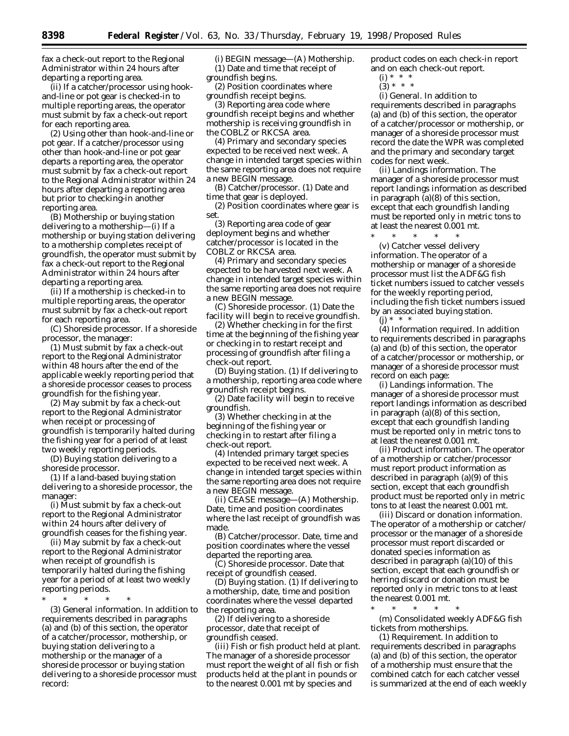fax a check-out report to the Regional Administrator within 24 hours after departing a reporting area.

(*ii*) If a catcher/processor using hookand-line or pot gear is checked-in to multiple reporting areas, the operator must submit by fax a check-out report for each reporting area.

(*2*) *Using other than hook-and-line or pot gear.* If a catcher/processor using other than hook-and-line or pot gear departs a reporting area, the operator must submit by fax a check-out report to the Regional Administrator within 24 hours after departing a reporting area but prior to checking-in another reporting area.

(B) *Mothership or buying station delivering to a mothership*—(i) If a mothership or buying station delivering to a mothership completes receipt of groundfish, the operator must submit by fax a check-out report to the Regional Administrator within 24 hours after departing a reporting area.

(ii) If a mothership is checked-in to multiple reporting areas, the operator must submit by fax a check-out report for each reporting area.

(C) *Shoreside processor.* If a shoreside processor, the manager:

(*1*) Must submit by fax a check-out report to the Regional Administrator within 48 hours after the end of the applicable weekly reporting period that a shoreside processor ceases to process groundfish for the fishing year.

(*2*) May submit by fax a check-out report to the Regional Administrator when receipt or processing of groundfish is temporarily halted during the fishing year for a period of at least two weekly reporting periods.

(D) *Buying station delivering to a shoreside processor.*

(*1*) If a land-based buying station delivering to a shoreside processor, the manager:

(*i*) Must submit by fax a check-out report to the Regional Administrator within 24 hours after delivery of groundfish ceases for the fishing year.

(*ii*) May submit by fax a check-out report to the Regional Administrator when receipt of groundfish is temporarily halted during the fishing year for a period of at least two weekly reporting periods.

\* \* \* \* \*

(3) *General information.* In addition to requirements described in paragraphs (a) and (b) of this section, the operator of a catcher/processor, mothership, or buying station delivering to a mothership or the manager of a shoreside processor or buying station delivering to a shoreside processor must record:

(i) *BEGIN message*—(A) *Mothership.* (*1*) Date and time that receipt of groundfish begins.

(*2*) Position coordinates where groundfish receipt begins.

(*3*) Reporting area code where groundfish receipt begins and whether mothership is receiving groundfish in the COBLZ or RKCSA area.

(*4*) Primary and secondary species expected to be received next week. A change in intended target species within the same reporting area does not require a new BEGIN message.

(B) *Catcher/processor.* (*1*) Date and time that gear is deployed.

(*2*) Position coordinates where gear is set.

(*3*) Reporting area code of gear deployment begins and whether catcher/processor is located in the COBLZ or RKCSA area.

(*4*) Primary and secondary species expected to be harvested next week. A change in intended target species within the same reporting area does not require a new BEGIN message.

(C) *Shoreside processor*. (*1*) Date the facility will begin to receive groundfish.

(*2*) Whether checking in for the first time at the beginning of the fishing year or checking in to restart receipt and processing of groundfish after filing a check-out report.

(D) *Buying station*. (*1*) If delivering to a mothership, reporting area code where groundfish receipt begins.

(*2*) Date facility will begin to receive groundfish.

(*3*) Whether checking in at the beginning of the fishing year or checking in to restart after filing a check-out report.

(*4*) Intended primary target species expected to be received next week. A change in intended target species within the same reporting area does not require a new BEGIN message.

(ii) *CEASE message*—(A) *Mothership*. Date, time and position coordinates where the last receipt of groundfish was made.

(B) *Catcher/processor*. Date, time and position coordinates where the vessel departed the reporting area.

(C) *Shoreside processor*. Date that receipt of groundfish ceased.

(D) *Buying station*. (*1*) If delivering to a mothership, date, time and position coordinates where the vessel departed the reporting area.

(*2*) If delivering to a shoreside processor, date that receipt of groundfish ceased.

(iii) *Fish or fish product held at plant*. The manager of a shoreside processor must report the weight of all fish or fish products held at the plant in pounds or to the nearest 0.001 mt by species and

product codes on each check-in report and on each check-out report.

- $(i) * * * *$
- $(3) * * * *$

(i) *General*. In addition to requirements described in paragraphs (a) and (b) of this section, the operator of a catcher/processor or mothership, or manager of a shoreside processor must record the date the WPR was completed and the primary and secondary target codes for next week.

(ii) *Landings information*. The manager of a shoreside processor must report landings information as described in paragraph (a)(8) of this section, except that each groundfish landing must be reported only in metric tons to at least the nearest 0.001 mt.

\* \* \* \* \*

(v) *Catcher vessel delivery information*. The operator of a mothership or manager of a shoreside processor must list the ADF&G fish ticket numbers issued to catcher vessels for the weekly reporting period, including the fish ticket numbers issued by an associated buying station. (j) \* \* \*

(4) *Information required*. In addition to requirements described in paragraphs (a) and (b) of this section, the operator of a catcher/processor or mothership, or manager of a shoreside processor must record on each page:

(i) *Landings information*. The manager of a shoreside processor must report landings information as described in paragraph (a)(8) of this section, except that each groundfish landing must be reported only in metric tons to at least the nearest 0.001 mt.

(ii) *Product information*. The operator of a mothership or catcher/processor must report product information as described in paragraph (a)(9) of this section, except that each groundfish product must be reported only in metric tons to at least the nearest 0.001 mt.

(iii) *Discard or donation information*. The operator of a mothership or catcher/ processor or the manager of a shoreside processor must report discarded or donated species information as described in paragraph (a)(10) of this section, except that each groundfish or herring discard or donation must be reported only in metric tons to at least the nearest 0.001 mt.

\* \* \* \* \* (m) *Consolidated weekly ADF&G fish*

*tickets from motherships*.

(1) *Requirement*. In addition to requirements described in paragraphs (a) and (b) of this section, the operator of a mothership must ensure that the combined catch for each catcher vessel is summarized at the end of each weekly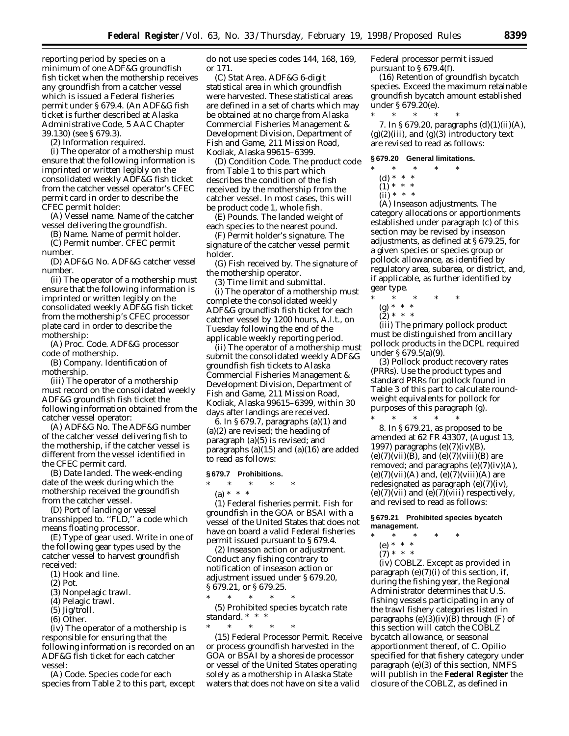reporting period by species on a minimum of one ADF&G groundfish fish ticket when the mothership receives any groundfish from a catcher vessel which is issued a Federal fisheries permit under § 679.4. (An ADF&G fish ticket is further described at Alaska Administrative Code, 5 AAC Chapter 39.130) (see § 679.3).

(2) *Information required.*

(i) The operator of a mothership must ensure that the following information is imprinted or written legibly on the consolidated weekly ADF&G fish ticket from the catcher vessel operator's CFEC permit card in order to describe the CFEC permit holder:

(A) *Vessel name*. Name of the catcher vessel delivering the groundfish.

(B) *Name*. Name of permit holder.

(C) *Permit number*. CFEC permit number.

(D) *ADF&G No*. ADF&G catcher vessel number.

(ii) The operator of a mothership must ensure that the following information is imprinted or written legibly on the consolidated weekly ADF&G fish ticket from the mothership's CFEC processor plate card in order to describe the mothership:

(A) *Proc. Code*. ADF&G processor code of mothership.

(B) *Company*. Identification of mothership.

(iii) The operator of a mothership must record on the consolidated weekly ADF&G groundfish fish ticket the following information obtained from the catcher vessel operator:

(A) *ADF&G No*. The ADF&G number of the catcher vessel delivering fish to the mothership, if the catcher vessel is different from the vessel identified in the CFEC permit card.

(B) *Date landed*. The week-ending date of the week during which the mothership received the groundfish from the catcher vessel.

(D) *Port of landing or vessel transshipped to*. ''FLD,'' a code which means floating processor.

(E) *Type of gear used*. Write in one of the following gear types used by the catcher vessel to harvest groundfish received:

- (*1*) Hook and line.
- (*2*) Pot.

- (*4*) Pelagic trawl.
- (*5*) Jig/troll.
- (*6*) Other.

(iv) The operator of a mothership is responsible for ensuring that the following information is recorded on an ADF&G fish ticket for each catcher vessel:

(A) *Code*. Species code for each species from Table 2 to this part, except do not use species codes 144, 168, 169, or 171.

(C) *Stat Area*. ADF&G 6-digit statistical area in which groundfish were harvested. These statistical areas are defined in a set of charts which may be obtained at no charge from Alaska Commercial Fisheries Management & Development Division, Department of Fish and Game, 211 Mission Road, Kodiak, Alaska 99615–6399.

(D) *Condition Code*. The product code from Table 1 to this part which describes the condition of the fish received by the mothership from the catcher vessel. In most cases, this will be product code 1, whole fish.

(E) *Pounds*. The landed weight of each species to the nearest pound.

(F) *Permit holder's signature*. The signature of the catcher vessel permit holder.

(G) *Fish received by*. The signature of the mothership operator.

(3) *Time limit and submittal*.

(i) The operator of a mothership must complete the consolidated weekly ADF&G groundfish fish ticket for each catcher vessel by 1200 hours, A.l.t., on Tuesday following the end of the applicable weekly reporting period.

(ii) The operator of a mothership must submit the consolidated weekly ADF&G groundfish fish tickets to Alaska Commercial Fisheries Management & Development Division, Department of Fish and Game, 211 Mission Road, Kodiak, Alaska 99615–6399, within 30 days after landings are received.

6. In § 679.7, paragraphs (a)(1) and (a)(2) are revised; the heading of paragraph (a)(5) is revised; and paragraphs (a)(15) and (a)(16) are added to read as follows:

#### **§ 679.7 Prohibitions.**

- \* \* \* \* \*
- (a) \* \* \*

(1) *Federal fisheries permit*. Fish for groundfish in the GOA or BSAI with a vessel of the United States that does not have on board a valid Federal fisheries permit issued pursuant to § 679.4.

(2) *Inseason action or adjustment*. Conduct any fishing contrary to notification of inseason action or adjustment issued under § 679.20, § 679.21, or § 679.25.

 $*$  \* \* (5) *Prohibited species bycatch rate*

*standard.* \* \* \* \* \* \* \* \*

(15) *Federal Processor Permit*. Receive or process groundfish harvested in the GOA or BSAI by a shoreside processor or vessel of the United States operating solely as a mothership in Alaska State waters that does not have on site a valid

Federal processor permit issued pursuant to  $\S 679.4(f)$ .

(16) *Retention of groundfish bycatch species*. Exceed the maximum retainable groundfish bycatch amount established under § 679.20(e).

\* \* \* \* \*

7. In § 679.20, paragraphs (d)(1)(ii)(A),  $(g)(2)(iii)$ , and  $(g)(3)$  introductory text are revised to read as follows:

## **§ 679.20 General limitations.**

- \* \* \* \* \*
	- (d) \* \* \*
	- $(1) * * * *$
	- (ii) \* \* \*

(A) *Inseason adjustments.* The category allocations or apportionments established under paragraph (c) of this section may be revised by inseason adjustments, as defined at § 679.25, for a given species or species group or pollock allowance, as identified by regulatory area, subarea, or district, and, if applicable, as further identified by gear type.

- \* \* \* \* \*
	- (g) \* \* \*
- (2) \* \* \*

(iii) The primary pollock product must be distinguished from ancillary pollock products in the DCPL required under § 679.5(a)(9).

(3) *Pollock product recovery rates (PRRs).* Use the product types and standard PRRs for pollock found in Table 3 of this part to calculate roundweight equivalents for pollock for purposes of this paragraph (g). \* \* \* \* \*

8. In § 679.21, as proposed to be amended at 62 FR 43307, (August 13, 1997) paragraphs (e)(7)(iv)(B),  $(e)(7)(vii)(B)$ , and  $(e)(7)(viii)(B)$  are removed; and paragraphs  $(e)(7)(iv)(A)$ ,  $(e)(7)(vii)(A)$  and,  $(e)(7)(viii)(A)$  are redesignated as paragraph (e)(7)(iv),  $(e)(7)(vii)$  and  $(e)(7)(viii)$  respectively, and revised to read as follows:

## **§ 679.21 Prohibited species bycatch management.**

- \* \* \* \* \*
	- (e) \* \* \* (7) \* \* \*

(iv) *COBLZ.* Except as provided in paragraph (e)(7)(i) of this section, if, during the fishing year, the Regional Administrator determines that U.S. fishing vessels participating in any of the trawl fishery categories listed in paragraphs (e)(3)(iv)( $\bar{B}$ ) through (F) of this section will catch the COBLZ bycatch allowance, or seasonal apportionment thereof, of *C. Opilio* specified for that fishery category under paragraph (e)(3) of this section, NMFS will publish in the **Federal Register** the closure of the COBLZ, as defined in

<sup>(</sup>*3*) Nonpelagic trawl.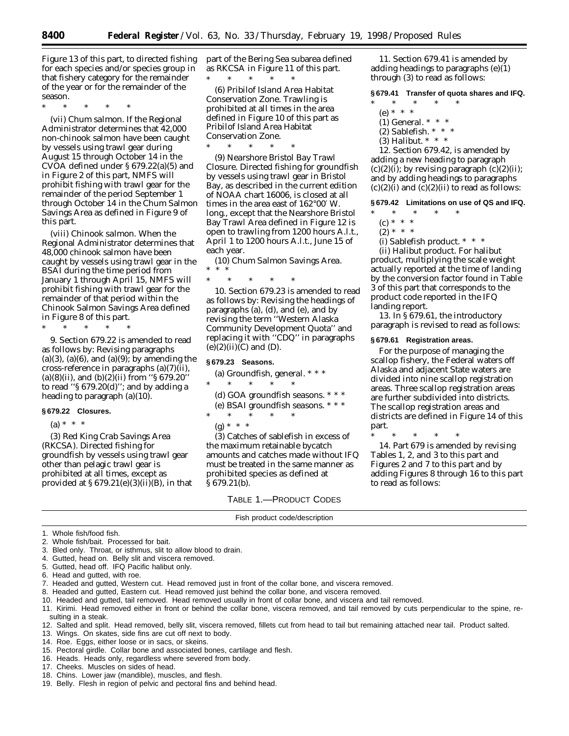Figure 13 of this part, to directed fishing for each species and/or species group in that fishery category for the remainder of the year or for the remainder of the season.

\* \* \* \* \*

(vii) *Chum salmon.* If the Regional Administrator determines that 42,000 non-chinook salmon have been caught by vessels using trawl gear during August 15 through October 14 in the CVOA defined under § 679.22(a)(5) and in Figure 2 of this part, NMFS will prohibit fishing with trawl gear for the remainder of the period September 1 through October 14 in the Chum Salmon Savings Area as defined in Figure 9 of this part.

(viii) *Chinook salmon.* When the Regional Administrator determines that 48,000 chinook salmon have been caught by vessels using trawl gear in the BSAI during the time period from January 1 through April 15, NMFS will prohibit fishing with trawl gear for the remainder of that period within the Chinook Salmon Savings Area defined in Figure 8 of this part.

\* \* \* \* \*

9. Section 679.22 is amended to read as follows by: Revising paragraphs  $(a)(3)$ ,  $(a)(6)$ , and  $(a)(9)$ ; by amending the cross-reference in paragraphs (a)(7)(ii), (a)(8)(ii), and (b)(2)(ii) from "§ 679.20" to read ''§ 679.20(d)''; and by adding a heading to paragraph (a)(10).

#### **§ 679.22 Closures.**

 $(a) * * * *$ 

(3) *Red King Crab Savings Area (RKCSA).* Directed fishing for groundfish by vessels using trawl gear other than pelagic trawl gear is prohibited at all times, except as provided at  $\S 679.21(e)(3)(ii)(B)$ , in that part of the Bering Sea subarea defined as RKCSA in Figure 11 of this part. \* \* \* \* \*

(6) *Pribilof Island Area Habitat Conservation Zone.* Trawling is prohibited at all times in the area defined in Figure 10 of this part as Pribilof Island Area Habitat Conservation Zone.

 $*$  \*

(9) *Nearshore Bristol Bay Trawl Closure.* Directed fishing for groundfish by vessels using trawl gear in Bristol Bay, as described in the current edition of NOAA chart 16006, is closed at all times in the area east of 162°00′ W. long., except that the Nearshore Bristol Bay Trawl Area defined in Figure 12 is open to trawling from 1200 hours A.l.t., April 1 to 1200 hours A.l.t., June 15 of each year.

(10) *Chum Salmon Savings Area.* \* \* \*

\* \* \* \* \* 10. Section 679.23 is amended to read as follows by: Revising the headings of paragraphs (a), (d), and (e), and by revising the term ''Western Alaska Community Development Quota'' and replacing it with ''CDQ'' in paragraphs  $(e)(2)(ii)(C)$  and  $(D)$ .

### **§ 679.23 Seasons.**

- (a) *Groundfish, general.* \* \* \* \* \* \* \* \*
- (d) *GOA groundfish seasons.* \* \* \*
- (e) *BSAI groundfish seasons.* \* \* \* \* \* \* \* \*
- $(g) * * * *$

(3) Catches of sablefish in excess of the maximum retainable bycatch amounts and catches made without IFQ must be treated in the same manner as prohibited species as defined at § 679.21(b).

> TABLE 1.—PRODUCT CODES Fish product code/description

11. Section 679.41 is amended by adding headings to paragraphs (e)(1) through (3) to read as follows:

**§ 679.41 Transfer of quota shares and IFQ.**

- \* \* \* \* \*
	- (e) \* \* \*
	- (1) *General.* \* \* \*
	- (2) *Sablefish.* \* \* \*
	- (3) *Halibut.* \* \* \*

12. Section 679.42, is amended by adding a new heading to paragraph  $(c)(2)(i)$ ; by revising paragraph  $(c)(2)(ii)$ ; and by adding headings to paragraphs  $(c)(2)(i)$  and  $(c)(2)(ii)$  to read as follows:

#### **§ 679.42 Limitations on use of QS and IFQ.**

- \* \* \* \* \*
- $(c) * * * *$
- $(2) * * * *$
- (i) *Sablefish product.* \* \* \*

(ii) *Halibut product.* For halibut product, multiplying the scale weight actually reported at the time of landing by the conversion factor found in Table 3 of this part that corresponds to the product code reported in the IFQ landing report.

13. In § 679.61, the introductory paragraph is revised to read as follows:

#### **§ 679.61 Registration areas.**

For the purpose of managing the scallop fishery, the Federal waters off Alaska and adjacent State waters are divided into nine scallop registration areas. Three scallop registration areas are further subdivided into districts. The scallop registration areas and districts are defined in Figure 14 of this part.

\* \* \* \* \* 14. Part 679 is amended by revising Tables 1, 2, and 3 to this part and Figures 2 and 7 to this part and by adding Figures 8 through 16 to this part to read as follows:

1. Whole fish/food fish.

- 2. Whole fish/bait. Processed for bait.
- 3. Bled only. Throat, or isthmus, slit to allow blood to drain.
- 4. Gutted, head on. Belly slit and viscera removed.
- 5. Gutted, head off. IFQ Pacific halibut only.
- 6. Head and gutted, with roe.
- 7. Headed and gutted, Western cut. Head removed just in front of the collar bone, and viscera removed.
- 8. Headed and gutted, Eastern cut. Head removed just behind the collar bone, and viscera removed.
- 10. Headed and gutted, tail removed. Head removed usually in front of collar bone, and viscera and tail removed.
- 11. Kirimi. Head removed either in front or behind the collar bone, viscera removed, and tail removed by cuts perpendicular to the spine, resulting in a steak.
- 12. Salted and split. Head removed, belly slit, viscera removed, fillets cut from head to tail but remaining attached near tail. Product salted.
- 13. Wings. On skates, side fins are cut off next to body.
- 14. Roe. Eggs, either loose or in sacs, or skeins.
- 15. Pectoral girdle. Collar bone and associated bones, cartilage and flesh.
- 16. Heads. Heads only, regardless where severed from body.
- 17. Cheeks. Muscles on sides of head.
- 18. Chins. Lower jaw (mandible), muscles, and flesh.
- 19. Belly. Flesh in region of pelvic and pectoral fins and behind head.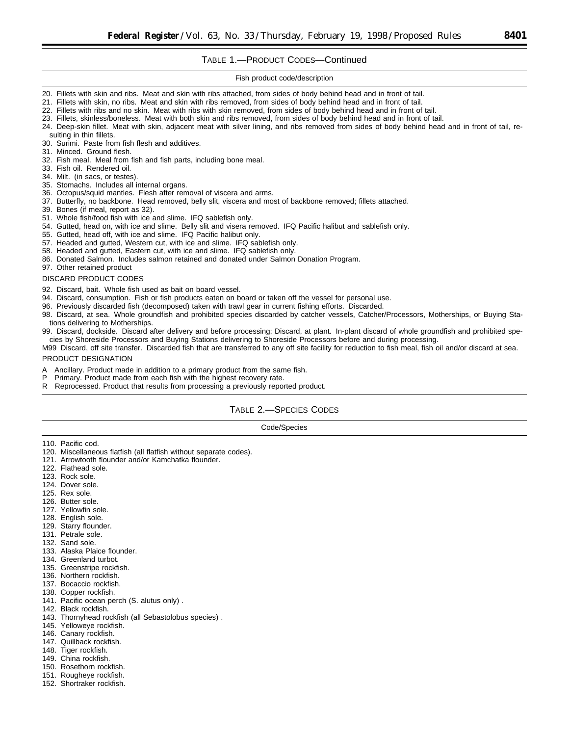## TABLE 1.—PRODUCT CODES—Continued

Fish product code/description

- 20. Fillets with skin and ribs. Meat and skin with ribs attached, from sides of body behind head and in front of tail.
- 21. Fillets with skin, no ribs. Meat and skin with ribs removed, from sides of body behind head and in front of tail.
- 22. Fillets with ribs and no skin. Meat with ribs with skin removed, from sides of body behind head and in front of tail.
- 23. Fillets, skinless/boneless. Meat with both skin and ribs removed, from sides of body behind head and in front of tail.
- 24. Deep-skin fillet. Meat with skin, adjacent meat with silver lining, and ribs removed from sides of body behind head and in front of tail, resulting in thin fillets.
- 30. Surimi. Paste from fish flesh and additives.
- 31. Minced. Ground flesh.
- 32. Fish meal. Meal from fish and fish parts, including bone meal.
- 33. Fish oil. Rendered oil.
- 34. Milt. (in sacs, or testes).
- 35. Stomachs. Includes all internal organs.
- 36. Octopus/squid mantles. Flesh after removal of viscera and arms.
- 37. Butterfly, no backbone. Head removed, belly slit, viscera and most of backbone removed; fillets attached.
- 39. Bones (if meal, report as 32).
- 51. Whole fish/food fish with ice and slime. IFQ sablefish only.
- 54. Gutted, head on, with ice and slime. Belly slit and visera removed. IFQ Pacific halibut and sablefish only.
- 55. Gutted, head off, with ice and slime. IFQ Pacific halibut only.
- 57. Headed and gutted, Western cut, with ice and slime. IFQ sablefish only.
- 58. Headed and gutted, Eastern cut, with ice and slime. IFQ sablefish only.
- 86. Donated Salmon. Includes salmon retained and donated under Salmon Donation Program.
- 97. Other retained product

#### DISCARD PRODUCT CODES

- 92. Discard, bait. Whole fish used as bait on board vessel.
- 94. Discard, consumption. Fish or fish products eaten on board or taken off the vessel for personal use.
- 96. Previously discarded fish (decomposed) taken with trawl gear in current fishing efforts. Discarded.
- 98. Discard, at sea. Whole groundfish and prohibited species discarded by catcher vessels, Catcher/Processors, Motherships, or Buying Stations delivering to Motherships.
- 99. Discard, dockside. Discard after delivery and before processing; Discard, at plant. In-plant discard of whole groundfish and prohibited species by Shoreside Processors and Buying Stations delivering to Shoreside Processors before and during processing.
- M99 Discard, off site transfer. Discarded fish that are transferred to any off site facility for reduction to fish meal, fish oil and/or discard at sea.

#### PRODUCT DESIGNATION

- A Ancillary. Product made in addition to a primary product from the same fish.<br>P. Primary, Product made from each fish with the bighest recovery rate
- Primary. Product made from each fish with the highest recovery rate.
- R Reprocessed. Product that results from processing a previously reported product.

## TABLE 2.—SPECIES CODES

Code/Species

- 110. Pacific cod.
- 120. Miscellaneous flatfish (all flatfish without separate codes).
- 121. Arrowtooth flounder and/or Kamchatka flounder.
- 122. Flathead sole.
- 123. Rock sole.
- 124. Dover sole.
- 125. Rex sole.
- 126. Butter sole.
- 127. Yellowfin sole.
- 128. English sole.
- 129. Starry flounder.
- 131. Petrale sole.
- 132. Sand sole.
- 133. Alaska Plaice flounder.
- 134. Greenland turbot.
- 135. Greenstripe rockfish.
- 136. Northern rockfish.
- 137. Bocaccio rockfish.
- 138. Copper rockfish.
- 141. Pacific ocean perch (S. alutus only) .
- 142. Black rockfish.
- 143. Thornyhead rockfish (all Sebastolobus species) .
- 145. Yelloweye rockfish.
- 146. Canary rockfish.
- 147. Quillback rockfish.
- 148. Tiger rockfish.
- 149. China rockfish.
- 150. Rosethorn rockfish.
- 151. Rougheye rockfish.
- 
- 152. Shortraker rockfish.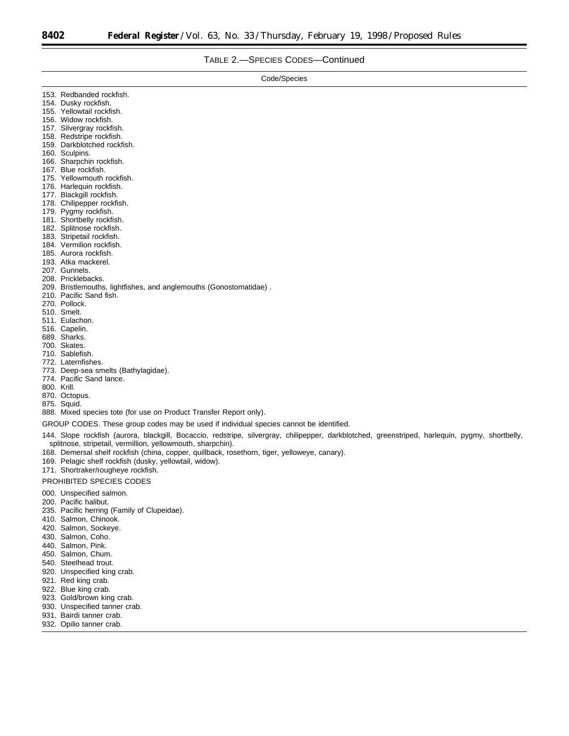## TABLE 2.—SPECIES CODES—Continued

| Code/Species                                                                                                                                                                                                                                                                                                                                                                                                                                                                                               |
|------------------------------------------------------------------------------------------------------------------------------------------------------------------------------------------------------------------------------------------------------------------------------------------------------------------------------------------------------------------------------------------------------------------------------------------------------------------------------------------------------------|
| 153. Redbanded rockfish.<br>154. Dusky rockfish.<br>155. Yellowtail rockfish.<br>156. Widow rockfish.<br>157. Silvergray rockfish.<br>158. Redstripe rockfish.                                                                                                                                                                                                                                                                                                                                             |
| 159. Darkblotched rockfish.<br>160. Sculpins.<br>166. Sharpchin rockfish.<br>167. Blue rockfish.<br>175. Yellowmouth rockfish.<br>176. Harlequin rockfish.<br>177. Blackgill rockfish.<br>178. Chilipepper rockfish.<br>179. Pygmy rockfish.                                                                                                                                                                                                                                                               |
| 181. Shortbelly rockfish.<br>182. Splitnose rockfish.<br>183. Stripetail rockfish.<br>184. Vermilion rockfish.<br>185. Aurora rockfish.<br>193. Atka mackerel.<br>207. Gunnels.<br>208. Pricklebacks.                                                                                                                                                                                                                                                                                                      |
| 209. Bristlemouths, lightfishes, and anglemouths (Gonostomatidae).<br>210. Pacific Sand fish.<br>270. Pollock.<br>510. Smelt.<br>511. Eulachon.<br>516. Capelin.<br>689. Sharks.<br>700. Skates.<br>710. Sablefish.<br>772. Laternfishes.<br>773. Deep-sea smelts (Bathylagidae).<br>774. Pacific Sand lance.<br>800. Krill.<br>870. Octopus.<br>875. Squid.<br>888. Mixed species tote (for use on Product Transfer Report only).                                                                         |
| GROUP CODES. These group codes may be used if individual species cannot be identified.<br>144. Slope rockfish (aurora, blackgill, Bocaccio, redstripe, silvergray, chilipepper, darkblotched, greenstriped, harlequin, pygmy, shortbelly,<br>splitnose, stripetail, vermillion, yellowmouth, sharpchin).<br>168. Demersal shelf rockfish (china, copper, quillback, rosethorn, tiger, yelloweye, canary).<br>169. Pelagic shelf rockfish (dusky, yellowtail, widow).<br>171. Shortraker/rougheye rockfish. |
| <b>PROHIBITED SPECIES CODES</b><br>000. Unspecified salmon.<br>200. Pacific halibut.<br>235. Pacific herring (Family of Clupeidae).<br>410. Salmon, Chinook.<br>420. Salmon, Sockeye.<br>430. Salmon, Coho.<br>440. Salmon, Pink.<br>450. Salmon, Chum.<br>540. Steelhead trout.<br>920. Unspecified king crab.                                                                                                                                                                                            |

- 921. Red king crab.
- 922. Blue king crab.
- 923. Gold/brown king crab.
- 930. Unspecified tanner crab.
- 931. Bairdi tanner crab.
- 932. Opilio tanner crab.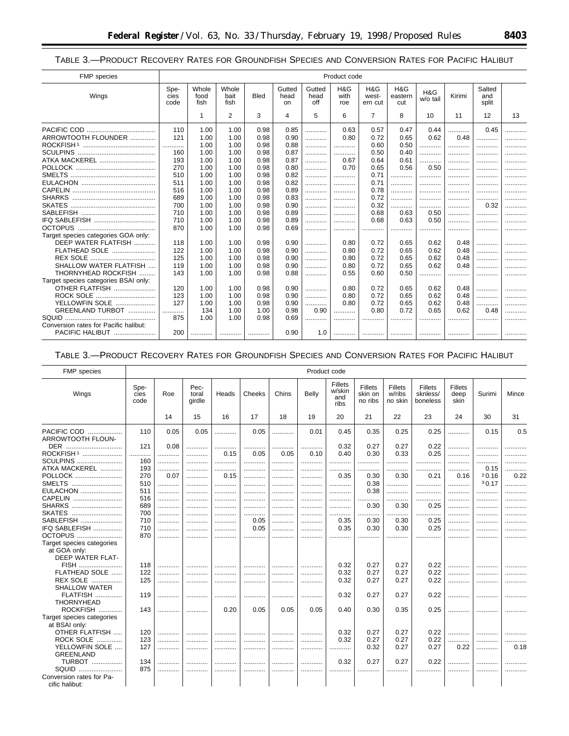TABLE 3.-PRODUCT RECOVERY RATES FOR GROUNDFISH SPECIES AND CONVERSION RATES FOR PACIFIC HALIBUT

| FMP species                           |                      |                       |                       |             |                       |                       | Product code       |                         |                       |                 |        |                        |    |
|---------------------------------------|----------------------|-----------------------|-----------------------|-------------|-----------------------|-----------------------|--------------------|-------------------------|-----------------------|-----------------|--------|------------------------|----|
| Wings                                 | Spe-<br>cies<br>code | Whole<br>food<br>fish | Whole<br>bait<br>fish | <b>Bled</b> | Gutted<br>head<br>on. | Gutted<br>head<br>off | H&G<br>with<br>roe | H&G<br>west-<br>ern cut | H&G<br>eastern<br>cut | H&G<br>w/o tail | Kirimi | Salted<br>and<br>split |    |
|                                       |                      | $\mathbf{1}$          | 2                     | 3           | 4                     | 5                     | 6                  | $\overline{7}$          | 8                     | 10              | 11     | 12                     | 13 |
|                                       | 110                  | 1.00                  | 1.00                  | 0.98        | 0.85                  | .                     | 0.63               | 0.57                    | 0.47                  | 0.44            | .      | 0.45                   | .  |
| ARROWTOOTH FLOUNDER                   | 121                  | 1.00                  | 1.00                  | 0.98        | 0.90                  | .                     | 0.80               | 0.72                    | 0.65                  | 0.62            | 0.48   | .                      | .  |
|                                       | .                    | 1.00                  | 1.00                  | 0.98        | 0.88                  | .                     |                    | 0.60                    | 0.50                  |                 |        |                        |    |
|                                       | 160                  | 1.00                  | 1.00                  | 0.98        | 0.87                  | .                     |                    | 0.50                    | 0.40                  | .               |        |                        |    |
| ATKA MACKEREL                         | 193                  | 1.00                  | 1.00                  | 0.98        | 0.87                  | .                     | 0.67               | 0.64                    | 0.61                  | .               | .      |                        |    |
|                                       | 270                  | 1.00                  | 1.00                  | 0.98        | 0.80                  | .                     | 0.70               | 0.65                    | 0.56                  | 0.50            | .      |                        |    |
|                                       | 510                  | 1.00                  | 1.00                  | 0.98        | 0.82                  |                       | .                  | 0.71                    | .                     | .               | .      | .                      | .  |
|                                       | 511                  | 1.00                  | 1.00                  | 0.98        | 0.82                  | .                     | .                  | 0.71                    | .                     | .               |        |                        | .  |
|                                       | 516                  | 1.00                  | 1.00                  | 0.98        | 0.89                  | .                     |                    | 0.78                    | .                     |                 | .      | .                      |    |
| <b>SHARKS</b>                         | 689                  | 1.00                  | 1.00                  | 0.98        | 0.83                  |                       | .                  | 0.72                    | .                     | .               | .      |                        |    |
|                                       | 700                  | 1.00                  | 1.00                  | 0.98        | 0.90                  | .                     |                    | 0.32                    |                       |                 |        | 0.32                   | .  |
|                                       | 710                  | 1.00                  | 1.00                  | 0.98        | 0.89                  | .                     |                    | 0.68                    | 0.63                  | 0.50            |        |                        |    |
| IFQ SABLEFISH                         | 710                  | 1.00                  | 1.00                  | 0.98        | 0.89                  |                       |                    | 0.68                    | 0.63                  | 0.50            |        |                        |    |
|                                       | 870                  | 1.00                  | 1.00                  | 0.98        | 0.69                  | .                     |                    | .                       | .                     |                 |        |                        |    |
| Target species categories GOA only:   |                      |                       |                       |             |                       |                       |                    |                         |                       |                 |        |                        |    |
| DEEP WATER FLATFISH                   | 118                  | 1.00                  | 1.00                  | 0.98        | 0.90                  | .                     | 0.80               | 0.72                    | 0.65                  | 0.62            | 0.48   |                        |    |
| FLATHEAD SOLE                         | 122                  | 1.00                  | 1.00                  | 0.98        | 0.90                  | .                     | 0.80               | 0.72                    | 0.65                  | 0.62            | 0.48   | .                      |    |
|                                       | 125                  | 1.00                  | 1.00                  | 0.98        | 0.90                  | .                     | 0.80               | 0.72                    | 0.65                  | 0.62            | 0.48   |                        |    |
| SHALLOW WATER FLATFISH                | 119                  | 1.00                  | 1.00                  | 0.98        | 0.90                  | .                     | 0.80               | 0.72                    | 0.65                  | 0.62            | 0.48   | .                      |    |
| THORNYHEAD ROCKFISH<br>.              | 143                  | 1.00                  | 1.00                  | 0.98        | 0.88                  |                       | 0.55               | 0.60                    | 0.50                  | .               |        |                        |    |
| Target species categories BSAI only:  |                      |                       |                       |             |                       |                       |                    |                         |                       |                 |        |                        |    |
| OTHER FLATFISH                        | 120                  | 1.00                  | 1.00                  | 0.98        | 0.90                  | .                     | 0.80               | 0.72                    | 0.65                  | 0.62            | 0.48   | .                      | .  |
| <b>ROCK SOLE</b>                      | 123                  | 1.00                  | 1.00                  | 0.98        | 0.90                  | .                     | 0.80               | 0.72                    | 0.65                  | 0.62            | 0.48   | .                      |    |
| YELLOWFIN SOLE                        | 127                  | 1.00                  | 1.00                  | 0.98        | 0.90                  | .                     | 0.80               | 0.72                    | 0.65                  | 0.62            | 0.48   |                        |    |
| GREENLAND TURBOT                      | .                    | 134                   | 1.00                  | 1.00        | 0.98                  | 0.90                  | .                  | 0.80                    | 0.72                  | 0.65            | 0.62   | 0.48                   | .  |
| SQUID                                 | 875                  | 1.00                  | 1.00                  | 0.98        | 0.69                  | .                     |                    |                         |                       |                 |        |                        |    |
| Conversion rates for Pacific halibut: |                      |                       |                       |             |                       |                       |                    |                         |                       |                 |        |                        |    |
| PACIFIC HALIBUT                       | 200                  | .                     |                       |             | 0.90                  | 1.0                   |                    |                         |                       | .               |        |                        |    |

## TABLE 3.-PRODUCT RECOVERY RATES FOR GROUNDFISH SPECIES AND CONVERSION RATES FOR PACIFIC HALIBUT

| FMP species                                                                   |                        |                     |                         |                |               |                  |              | Product code                     |                               |                                     |                                        |                         |                     |                |
|-------------------------------------------------------------------------------|------------------------|---------------------|-------------------------|----------------|---------------|------------------|--------------|----------------------------------|-------------------------------|-------------------------------------|----------------------------------------|-------------------------|---------------------|----------------|
| Wings                                                                         | Spe-<br>cies<br>code   | Roe                 | Pec-<br>toral<br>qirdle | Heads          | Cheeks        | Chins            | Belly        | Fillets<br>w/skin<br>and<br>ribs | Fillets<br>skin on<br>no ribs | <b>Fillets</b><br>w/ribs<br>no skin | <b>Fillets</b><br>sknless/<br>boneless | Fillets<br>deep<br>skin | Surimi              | Mince          |
|                                                                               |                        | 14                  | 15                      | 16             | 17            | 18               | 19           | 20                               | 21                            | 22                                  | 23                                     | 24                      | 30                  | 31             |
| PACIFIC COD<br>ARROWTOOTH FLOUN-                                              | 110                    | 0.05                | 0.05                    | .              | 0.05          | .                | 0.01         | 0.45                             | 0.35                          | 0.25                                | 0.25                                   | .                       | 0.15                | 0.5            |
| DER<br>ROCKFISH <sup>1</sup><br><b>SCULPINS</b><br><br>ATKA MACKEREL          | 121<br>.<br>160<br>193 | 0.08<br>.<br>.<br>. | .<br>.<br>.             | <br>0.15<br>   | <br>0.05<br>. | <br>0.05<br><br> | <br>0.10<br> | 0.32<br>0.40<br>.                | 0.27<br>0.30<br>              | 0.27<br>0.33<br>.                   | 0.22<br>0.25<br>                       | .<br>.<br>.             | 0.15                | .              |
| POLLOCK<br>SMELTS<br>EULACHON                                                 | 270<br>510<br>511      | 0.07<br>.<br>.      | <br>.<br>.              | 0.15<br>.<br>. | <br><br>.     | <br><br>         | <br><br>.    | 0.35<br><br>.                    | 0.30<br>0.38<br>0.38          | 0.30<br>.<br>.                      | 0.21<br>.<br>.                         | 0.16<br>.<br>.          | 20.16<br>30.17<br>. | 0.22<br>.<br>. |
| <b>CAPELIN</b><br>SHARKS<br><b>SKATES</b>                                     | 516<br>689<br>700      | .<br><br>.          | <br><br>                | .<br>          | <br>.<br>.    | <br>.<br>        | <br><br>     | .<br>.<br>.                      | <br>0.30<br>                  | .<br>0.30<br>                       | <br>0.25<br>                           | <br>.<br>.              | .<br>.<br>          | .              |
| SABLEFISH<br>IFQ SABLEFISH<br>OCTOPUS                                         | 710<br>710<br>870      | .<br>.<br>.         | .                       | .<br>.         | 0.05<br>0.05  | <br>.            | .<br>        | 0.35<br>0.35<br>.                | 0.30<br>0.30                  | 0.30<br>0.30                        | 0.25<br>0.25                           | .<br>                   | .                   | .<br>.         |
| Target species categories<br>at GOA only:<br>DEEP WATER FLAT-                 |                        |                     |                         |                |               |                  |              |                                  |                               |                                     |                                        |                         |                     |                |
| FISH<br>FLATHEAD SOLE<br><b>REX SOLE</b>                                      | 118<br>122<br>125      | .<br>.              | .                       | .<br>.         | .<br>.        | .<br>.           | .<br>.       | 0.32<br>0.32<br>0.32             | 0.27<br>0.27<br>0.27          | 0.27<br>0.27<br>0.27                | 0.22<br>0.22<br>0.22                   | .<br>.<br>.             | .<br>.              |                |
| <b>SHALLOW WATER</b><br><b>FLATFISH</b><br><b>THORNYHEAD</b>                  | 119                    |                     |                         |                |               |                  |              | 0.32                             | 0.27                          | 0.27                                | 0.22                                   |                         |                     |                |
| ROCKFISH<br>Target species categories<br>at BSAI only:                        | 143                    | .                   |                         | 0.20           | 0.05          | 0.05             | 0.05         | 0.40                             | 0.30                          | 0.35                                | 0.25                                   | .                       |                     |                |
| OTHER FLATFISH<br><b>ROCK SOLE</b><br>.<br>YELLOWFIN SOLE<br><b>GREENLAND</b> | 120<br>123<br>127      | .<br>.<br>.         | <br>.<br>               | .<br>.         | .<br>.<br>    | .<br>.<br>       | .<br>.<br>   | 0.32<br>0.32                     | 0.27<br>0.27<br>0.32          | 0.27<br>0.27<br>0.27                | 0.22<br>0.22<br>0.27                   | .<br><br>0.22           | <br>.               | .<br>0.18      |
| <b>TURBOT</b><br>SQUID<br>Conversion rates for Pa-<br>cific halibut:          | 134<br>875             | .<br>               | .                       | .              | .             |                  |              | 0.32                             | 0.27                          | 0.27                                | 0.22                                   | .                       |                     |                |

-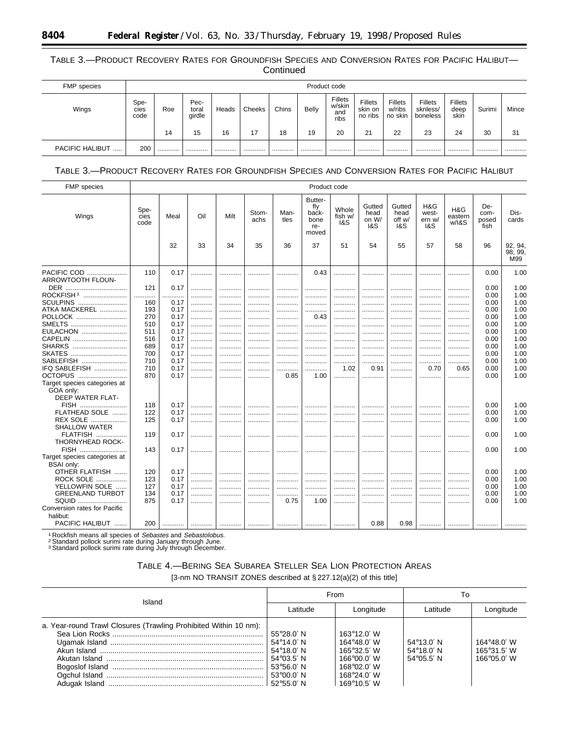## TABLE 3.—PRODUCT RECOVERY RATES FOR GROUNDFISH SPECIES AND CONVERSION RATES FOR PACIFIC HALIBUT— **Continued**

| FMP species     |                      | Product code |                         |       |        |       |       |                                  |                               |                                     |                                 |                         |        |       |
|-----------------|----------------------|--------------|-------------------------|-------|--------|-------|-------|----------------------------------|-------------------------------|-------------------------------------|---------------------------------|-------------------------|--------|-------|
| Wings           | Spe-<br>cies<br>code | Roe          | Pec-<br>toral<br>girdle | Heads | Cheeks | Chins | Belly | Fillets<br>w/skin<br>and<br>ribs | Fillets<br>skin on<br>no ribs | <b>Fillets</b><br>w/ribs<br>no skin | Fillets<br>sknless/<br>boneless | Fillets<br>deep<br>skin | Surimi | Mince |
|                 |                      | 14           | 15                      | 16    | 17     | 18    | 19    | 20                               | 21                            | 22                                  | 23                              | 24                      | 30     | 31    |
| PACIFIC HALIBUT | 200                  |              |                         |       |        |       |       |                                  |                               |                                     |                                 |                         |        |       |

## TABLE 3.—PRODUCT RECOVERY RATES FOR GROUNDFISH SPECIES AND CONVERSION RATES FOR PACIFIC HALIBUT

| <b>FMP</b> species                        |                      |      |     |      |               |              | Product code                                    |                         |                                |                                 |                               |                         |                              |                           |
|-------------------------------------------|----------------------|------|-----|------|---------------|--------------|-------------------------------------------------|-------------------------|--------------------------------|---------------------------------|-------------------------------|-------------------------|------------------------------|---------------------------|
| Wings                                     | Spe-<br>cies<br>code | Meal | Oil | Milt | Stom-<br>achs | Man-<br>tles | Butter-<br>fly<br>back-<br>bone<br>re-<br>moved | Whole<br>fish w/<br>1&S | Gutted<br>head<br>on W/<br>1&S | Gutted<br>head<br>off w/<br>1&S | H&G<br>west-<br>ern w/<br>1&S | H&G<br>eastern<br>W/18S | De-<br>com-<br>posed<br>fish | Dis-<br>cards             |
|                                           |                      | 32   | 33  | 34   | 35            | 36           | 37                                              | 51                      | 54                             | 55                              | 57                            | 58                      | 96                           | 92, 94,<br>98, 99,<br>M99 |
| PACIFIC COD<br>ARROWTOOTH FLOUN-          | 110                  | 0.17 | .   |      |               | .            | 0.43                                            | .                       |                                |                                 |                               |                         | 0.00                         | 1.00                      |
| DER                                       | 121                  | 0.17 |     |      |               |              |                                                 |                         |                                |                                 |                               |                         | 0.00                         | 1.00                      |
| ROCKFISH <sup>1</sup>                     | .                    |      |     | .    | .             |              | .                                               | .                       |                                | .                               | .                             | .                       | 0.00                         | 1.00                      |
| <b>SCULPINS</b>                           | 160                  | 0.17 |     | .    |               |              | .                                               |                         |                                |                                 |                               |                         | 0.00                         | 1.00                      |
| ATKA MACKEREL                             | 193                  | 0.17 |     |      |               |              |                                                 |                         |                                |                                 |                               | .                       | 0.00                         | 1.00                      |
| POLLOCK                                   | 270                  | 0.17 | .   | .    | .             | .            | 0.43                                            | .                       | .                              | .                               | .                             | .                       | 0.00                         | 1.00                      |
| SMELTS                                    | 510                  | 0.17 | .   | .    | .             | .            | .                                               | .                       |                                |                                 | .                             | .                       | 0.00                         | 1.00                      |
| EULACHON                                  | 511                  | 0.17 | .   |      | .             |              |                                                 |                         |                                |                                 |                               |                         | 0.00                         | 1.00                      |
| CAPELIN                                   | 516                  | 0.17 |     | .    | .             | .            | .                                               | .                       |                                |                                 | .                             | .                       | 0.00                         | 1.00                      |
| SHARKS                                    | 689                  | 0.17 | .   | .    | .             | .            | .                                               | .                       | .                              | .                               | .                             | .                       | 0.00                         | 1.00                      |
| SKATES                                    | 700                  | 0.17 | .   | .    | .             |              | .                                               | .                       |                                | .                               |                               | .                       | 0.00                         | 1.00                      |
| SABLEFISH                                 | 710                  | 0.17 | .   | .    | .             | .            | .                                               |                         |                                |                                 |                               |                         | 0.00                         | 1.00                      |
| IFQ SABLEFISH                             | 710                  | 0.17 | .   | .    | .             | .            | .                                               | 1.02                    | 0.91                           | .                               | 0.70                          | 0.65                    | 0.00                         | 1.00                      |
| OCTOPUS                                   | 870                  | 0.17 | .   |      |               | 0.85         | 1.00                                            |                         |                                | .                               |                               |                         | 0.00                         | 1.00                      |
| Target species categories at<br>GOA only: |                      |      |     |      |               |              |                                                 |                         |                                |                                 |                               |                         |                              |                           |
| DEEP WATER FLAT-                          |                      |      |     |      |               |              |                                                 |                         |                                |                                 |                               |                         |                              |                           |
| FISH                                      | 118                  | 0.17 |     |      |               | .            |                                                 |                         |                                | .                               |                               |                         | 0.00                         | 1.00                      |
| <b>FLATHEAD SOLE</b><br>1.1.1.1.1.1       | 122                  | 0.17 | .   | .    |               |              |                                                 |                         |                                |                                 |                               |                         | 0.00                         | 1.00                      |
| REX SOLE<br><b>SHALLOW WATER</b>          | 125                  | 0.17 | .   |      |               |              |                                                 |                         |                                |                                 |                               |                         | 0.00                         | 1.00                      |
| <b>FLATFISH</b><br>THORNYHEAD ROCK-       | 119                  | 0.17 | .   | .    | .             |              | .                                               | .                       |                                | .                               | .                             | .                       | 0.00                         | 1.00                      |
| FISH<br>Target species categories at      | 143                  | 0.17 |     |      |               |              |                                                 |                         |                                |                                 |                               |                         | 0.00                         | 1.00                      |
| <b>BSAI only:</b>                         |                      |      |     |      |               |              |                                                 |                         |                                |                                 |                               |                         |                              |                           |
| OTHER FLATFISH                            | 120                  | 0.17 | .   |      |               |              |                                                 |                         |                                |                                 |                               |                         | 0.00                         | 1.00                      |
| <b>ROCK SOLE</b><br>.                     | 123                  | 0.17 | .   | .    | .             | .            | .                                               | .                       | .                              | .                               | .                             | .                       | 0.00                         | 1.00                      |
| YELLOWFIN SOLE<br>$\cdots$                | 127                  | 0.17 |     |      | .             |              |                                                 |                         |                                |                                 |                               |                         | 0.00                         | 1.00                      |
| <b>GREENLAND TURBOT</b>                   | 134                  | 0.17 |     | .    |               |              |                                                 |                         |                                |                                 |                               | .                       | 0.00                         | 1.00                      |
| SQUID                                     | 875                  | 0.17 | .   | .    | .             | 0.75         | 1.00                                            | .                       | .                              | .                               | .                             | .                       | 0.00                         | 1.00                      |
| Conversion rates for Pacific              |                      |      |     |      |               |              |                                                 |                         |                                |                                 |                               |                         |                              |                           |
| halibut:<br>PACIFIC HALIBUT               | 200                  |      |     |      |               |              | .                                               |                         | 0.88                           | 0.98                            |                               |                         |                              |                           |

<sup>1</sup> Rockfish means all species of *Sebastes* and *Sebastolobus.*<br><sup>2</sup> Standard pollock surimi rate during January through June.<br><sup>3</sup> Standard pollock surimi rate during July through December.

| TABLE 4.—BERING SEA SUBAREA STELLER SEA LION PROTECTION AREAS        |
|----------------------------------------------------------------------|
| [3-nm NO TRANSIT ZONES described at $\S 227.12(a)(2)$ of this title] |

| Island                                                           |                     | From                 | To                  |             |  |
|------------------------------------------------------------------|---------------------|----------------------|---------------------|-------------|--|
|                                                                  | Latitude            | Longitude            | Latitude            | Longitude   |  |
| a. Year-round Trawl Closures (Trawling Prohibited Within 10 nm): |                     |                      |                     |             |  |
|                                                                  | $55^{\circ}28.0'$ N | $163^{\circ}12.0'$ W |                     |             |  |
|                                                                  | 54°14.0′ N          | $164^{\circ}48.0'$ W | $54^{\circ}13.0'$ N | 164°48.0' W |  |
|                                                                  | 54°18.0′ N          | $165^{\circ}32.5'$ W | $54^{\circ}18.0'$ N | 165°31.5' W |  |
|                                                                  | 54°03.5′ N          | $166^{\circ}00.0'$ W | $54^{\circ}05.5'$ N | 166°05.0' W |  |
|                                                                  | $53^{\circ}56.0'$ N | $168^{\circ}02.0' W$ |                     |             |  |
|                                                                  | $53^{\circ}00.0'$ N | $168^{\circ}24.0'$ W |                     |             |  |
|                                                                  | $52^{\circ}55.0'$ N | $169^{\circ}10.5'$ W |                     |             |  |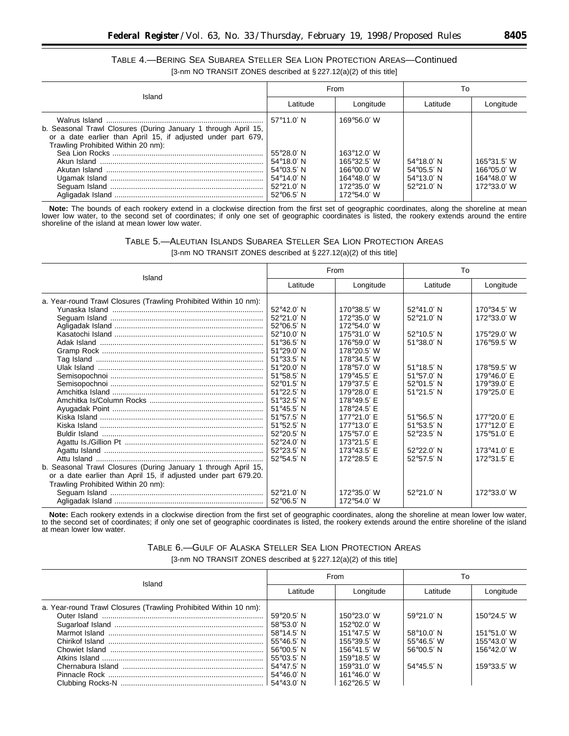## TABLE 4.—BERING SEA SUBAREA STELLER SEA LION PROTECTION AREAS—Continued [3-nm NO TRANSIT ZONES described at § 227.12(a)(2) of this title]

| Island                                                                                                                                                               |                                                                                                                                                               | From                                                                                                           | To                                                                                       |                                                                   |  |
|----------------------------------------------------------------------------------------------------------------------------------------------------------------------|---------------------------------------------------------------------------------------------------------------------------------------------------------------|----------------------------------------------------------------------------------------------------------------|------------------------------------------------------------------------------------------|-------------------------------------------------------------------|--|
|                                                                                                                                                                      | Latitude                                                                                                                                                      | Longitude                                                                                                      | Latitude                                                                                 | Longitude                                                         |  |
| b. Seasonal Trawl Closures (During January 1 through April 15,<br>or a date earlier than April 15, if adjusted under part 679,<br>Trawling Prohibited Within 20 nm): | $57^{\circ}11.0'$ N<br>$55^{\circ}28.0'$ N<br>$54^{\circ}18.0'$ N<br>$54^{\circ}03.5'$ N<br>$54^{\circ}14.0'$ N<br>$52^{\circ}21.0'$ N<br>$52^{\circ}06.5'$ N | 169°56.0' W<br>163°12.0' W<br>165°32.5' W<br>166°00.0′ W<br>164°48.0' W<br>172°35.0' W<br>$172^{\circ}54.0'$ W | $54^{\circ}18.0'$ N<br>$54^{\circ}05.5'$ N<br>$54^{\circ}13.0'$ N<br>$52^{\circ}21.0'$ N | 165°31.5' W<br>$166^{\circ}05.0'$ W<br>164°48.0' W<br>172°33.0' W |  |

**Note:** The bounds of each rookery extend in a clockwise direction from the first set of geographic coordinates, along the shoreline at mean lower low water, to the second set of coordinates; if only one set of geographic coordinates is listed, the rookery extends around the entire shoreline of the island at mean lower low water.

| Table 5.—Aleutian Islands Subarea Steller Sea Lion Protection Areas  |  |
|----------------------------------------------------------------------|--|
| [3-nm NO TRANSIT ZONES described at $\S 227.12(a)(2)$ of this title] |  |

| Island                                                           |                     | From                 | To                  |             |  |
|------------------------------------------------------------------|---------------------|----------------------|---------------------|-------------|--|
|                                                                  | Latitude            | Longitude            | Latitude            | Longitude   |  |
| a. Year-round Trawl Closures (Trawling Prohibited Within 10 nm): |                     |                      |                     |             |  |
|                                                                  | 52°42.0' N          | 170°38.5' W          | $52^{\circ}41.0'$ N | 170°34.5' W |  |
|                                                                  | $52^{\circ}21.0'$ N | $172^{\circ}35.0'$ W | $52^{\circ}21.0'$ N | 172°33.0' W |  |
|                                                                  | 52°06.5' N          | 172°54.0' W          |                     |             |  |
|                                                                  | $52^{\circ}10.0'$ N | 175°31.0' W          | $52^{\circ}10.5'$ N | 175°29.0' W |  |
|                                                                  | $51^{\circ}36.5'$ N | 176°59.0' W          | $51^{\circ}38.0'$ N | 176°59.5' W |  |
|                                                                  | $51^{\circ}29.0'$ N | 178°20.5' W          |                     |             |  |
|                                                                  | $51^{\circ}33.5'$ N | 178°34.5' W          |                     |             |  |
|                                                                  | $51^{\circ}20.0'$ N | 178°57.0' W          | $51^{\circ}18.5'$ N | 178°59.5' W |  |
|                                                                  | $51^{\circ}58.5'$ N | 179°45.5' E          | $51^{\circ}57.0'$ N | 179°46.0' E |  |
|                                                                  | $52^{\circ}01.5'$ N | 179°37.5' E          | $52^{\circ}01.5'$ N | 179°39.0' E |  |
|                                                                  | $51^{\circ}22.5'$ N | 179°28.0' E          | $51^{\circ}21.5'$ N | 179°25.0' E |  |
|                                                                  | 51°32.5' N          | 178°49.5' E          |                     |             |  |
|                                                                  | $51^{\circ}45.5'$ N | 178°24.5' E          |                     |             |  |
|                                                                  | 51°57.5' N          | 177°21.0' E          | $51^{\circ}56.5'$ N | 177°20.0' E |  |
|                                                                  | $51^{\circ}52.5'$ N | 177°13.0' E          | $51^{\circ}53.5'$ N | 177°12.0' E |  |
|                                                                  | $52^{\circ}20.5'$ N | 175°57.0' E          | $52^{\circ}23.5'$ N | 175°51.0' E |  |
|                                                                  | 52°24.0' N          | 173°21.5' E          |                     |             |  |
|                                                                  | $52^{\circ}23.5'$ N | 173°43.5' E          | $52^{\circ}22.0'$ N | 173°41.0' E |  |
|                                                                  | $52^{\circ}54.5'$ N | 172°28.5' E          | $52^{\circ}57.5'$ N | 172°31.5' E |  |
| b. Seasonal Trawl Closures (During January 1 through April 15,   |                     |                      |                     |             |  |
| or a date earlier than April 15, if adjusted under part 679.20.  |                     |                      |                     |             |  |
| Trawling Prohibited Within 20 nm):                               |                     |                      |                     |             |  |
|                                                                  | 52°21.0' N          | $172^{\circ}35.0'$ W | $52^{\circ}21.0'$ N | 172°33.0' W |  |
|                                                                  | $52^{\circ}06.5'$ N | 172°54.0′ W          |                     |             |  |

**Note:** Each rookery extends in a clockwise direction from the first set of geographic coordinates, along the shoreline at mean lower low water, to the second set of coordinates; if only one set of geographic coordinates is listed, the rookery extends around the entire shoreline of the island at mean lower low water.

# TABLE 6.—GULF OF ALASKA STELLER SEA LION PROTECTION AREAS

[3-nm NO TRANSIT ZONES described at § 227.12(a)(2) of this title]

|                                                                  |                     | From                   | To                  |                      |  |
|------------------------------------------------------------------|---------------------|------------------------|---------------------|----------------------|--|
| Island                                                           | Latitude            | Longitude              | Latitude            | Longitude            |  |
| a. Year-round Trawl Closures (Trawling Prohibited Within 10 nm): |                     |                        |                     |                      |  |
|                                                                  | $59^{\circ}20.5'$ N | 150°23.0′ W            | 59°21.0' N          | $150°24.5'$ W        |  |
|                                                                  | $58^{\circ}53.0'$ N | 152°02.0' W            |                     |                      |  |
|                                                                  | $58^{\circ}14.5'$ N | 151°47.5' W            | $58^{\circ}10.0'$ N | 151°51.0' W          |  |
|                                                                  | $55^{\circ}46.5'$ N | $155^{\circ}39.5'$ W   | $55^{\circ}46.5'$ W | $155^{\circ}43.0'$ W |  |
|                                                                  | $56^{\circ}00.5'$ N | 156°41.5' W            | $56^{\circ}00.5'$ N | 156°42.0' W          |  |
|                                                                  | $55^{\circ}03.5'$ N | $159^{\circ}18.5'$ W   |                     |                      |  |
|                                                                  | 54°47.5′ N          | 159 $^{\circ}$ 31.0' W | $54^{\circ}45.5'$ N | 159°33.5' W          |  |
|                                                                  | $54^{\circ}46.0'$ N | 161°46.0' W            |                     |                      |  |
|                                                                  |                     | $162^{\circ}26.5'$ W   |                     |                      |  |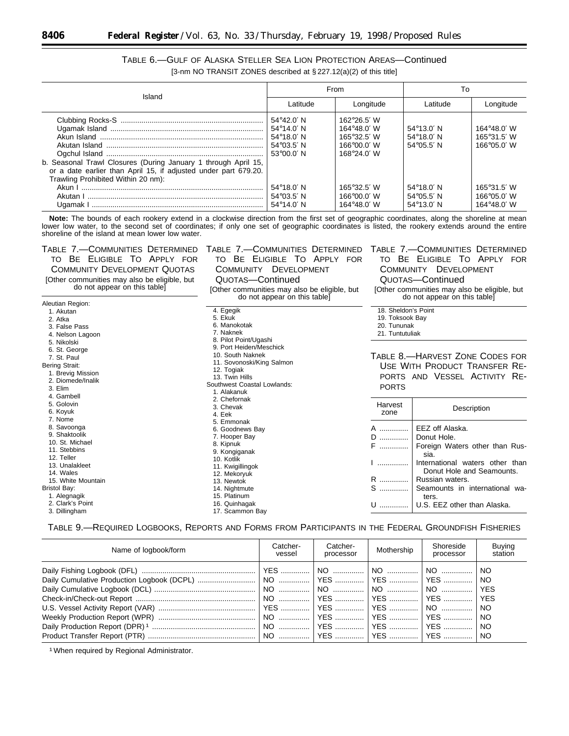| TABLE 6.-GULF OF ALASKA STELLER SEA LION PROTECTION AREAS-Continued  |  |
|----------------------------------------------------------------------|--|
| [3-nm NO TRANSIT ZONES described at $\S 227.12(a)(2)$ of this title] |  |

| Island                                                                                                                                                                  |                                                                                                                 | From                                                                                               | Т٥                                                                |                                                             |  |
|-------------------------------------------------------------------------------------------------------------------------------------------------------------------------|-----------------------------------------------------------------------------------------------------------------|----------------------------------------------------------------------------------------------------|-------------------------------------------------------------------|-------------------------------------------------------------|--|
|                                                                                                                                                                         | Latitude                                                                                                        | Longitude                                                                                          | Latitude                                                          | Longitude                                                   |  |
| b. Seasonal Trawl Closures (During January 1 through April 15,<br>or a date earlier than April 15, if adjusted under part 679.20.<br>Trawling Prohibited Within 20 nm): | $54^{\circ}42.0'$ N<br>$54^{\circ}14.0'$ N<br>$54^{\circ}18.0'$ N<br>$54^{\circ}03.5'$ N<br>$53^{\circ}00.0'$ N | $162^{\circ}26.5'$ W<br>$164^{\circ}48.0'$ W<br>165°32.5' W<br>$166^{\circ}00.0'$ W<br>168°24.0' W | $54^{\circ}13.0'$ N<br>$54^{\circ}18.0'$ N<br>$54^{\circ}05.5'$ N | $164^{\circ}48.0'$ W<br>165°31.5' W<br>$166^{\circ}05.0'$ W |  |
|                                                                                                                                                                         | $54^{\circ}18.0'$ N<br>$54^{\circ}03.5'$ N<br>54°14.0′ N                                                        | 165°32.5′ W<br>$166^{\circ}00.0'$ W<br>$164^{\circ}48.0'$ W                                        | $54^{\circ}18.0'$ N<br>$54^{\circ}05.5'$ N<br>$54^{\circ}13.0'$ N | $165^{\circ}31.5'$ W<br>166°05.0′ W<br>164°48.0′ W          |  |

**Note:** The bounds of each rookery extend in a clockwise direction from the first set of geographic coordinates, along the shoreline at mean lower low water, to the second set of coordinates; if only one set of geographic coordinates is listed, the rookery extends around the entire shoreline of the island at mean lower low water.

| TABLE 7.—COMMUNITIES DETERMINED<br>BE ELIGIBLE TO APPLY FOR<br>TO.<br><b>COMMUNITY DEVELOPMENT QUOTAS</b><br>[Other communities may also be eligible, but<br>do not appear on this table]                      | TABLE 7.—COMMUNITIES DETERMINED<br>BE ELIGIBLE TO APPLY FOR<br>TO.<br><b>DEVELOPMENT</b><br>COMMUNITY<br>QUOTAS-Continued<br>[Other communities may also be eligible, but<br>do not appear on this table] |                                                                          | TABLE 7.—COMMUNITIES DETERMINED<br>to Be Eligible To Apply for<br>COMMUNITY DEVELOPMENT<br>QUOTAS-Continued<br>[Other communities may also be eligible, but<br>do not appear on this table]                                           |  |  |  |
|----------------------------------------------------------------------------------------------------------------------------------------------------------------------------------------------------------------|-----------------------------------------------------------------------------------------------------------------------------------------------------------------------------------------------------------|--------------------------------------------------------------------------|---------------------------------------------------------------------------------------------------------------------------------------------------------------------------------------------------------------------------------------|--|--|--|
| Aleutian Region:<br>1. Akutan<br>2. Atka<br>3. False Pass<br>4. Nelson Lagoon<br>5. Nikolski                                                                                                                   | 4. Egegik<br>5. Ekuk<br>6. Manokotak<br>7. Naknek<br>8. Pilot Point/Ugashi                                                                                                                                | 18. Sheldon's Point<br>19. Toksook Bay<br>20. Tununak<br>21. Tuntutuliak |                                                                                                                                                                                                                                       |  |  |  |
| 6. St. George<br>7. St. Paul<br><b>Bering Strait:</b><br>1. Brevig Mission<br>2. Diomede/Inalik<br>3. Elim<br>4. Gambell                                                                                       | 9. Port Heiden/Meschick<br>10. South Naknek<br>11. Sovonoski/King Salmon<br>12. Togiak<br>13. Twin Hills<br>Southwest Coastal Lowlands:<br>1. Alakanuk                                                    | <b>PORTS</b>                                                             | TABLE 8.-HARVEST ZONE CODES FOR<br>USE WITH PRODUCT TRANSFER RE-<br>PORTS AND VESSEL ACTIVITY RE-                                                                                                                                     |  |  |  |
| 5. Golovin<br>6. Koyuk<br>7. Nome                                                                                                                                                                              | 2. Chefornak<br>3. Chevak<br>4. Eek<br>5. Emmonak                                                                                                                                                         | Harvest<br>zone                                                          | Description                                                                                                                                                                                                                           |  |  |  |
| 8. Savoonga<br>9. Shaktoolik<br>10. St. Michael<br>11. Stebbins<br>12. Teller<br>13. Unalakleet<br>14. Wales<br>15. White Mountain<br><b>Bristol Bay:</b><br>1. Alegnagik<br>2. Clark's Point<br>3. Dillingham | 6. Goodnews Bay<br>7. Hooper Bay<br>8. Kipnuk<br>9. Kongiganak<br>10. Kotlik<br>11. Kwigillingok<br>12. Mekoryuk<br>13. Newtok<br>14. Nightmute<br>15. Platinum<br>16. Quinhagak<br>17. Scammon Bay       | A<br>D<br>${\sf F}$<br>R<br>S<br>U                                       | EEZ off Alaska.<br>Donut Hole.<br>Foreign Waters other than Rus-<br>sia.<br>International waters other than<br>Donut Hole and Seamounts.<br>Russian waters.<br>Seamounts in international wa-<br>ters.<br>U.S. EEZ other than Alaska. |  |  |  |

TABLE 9.—REQUIRED LOGBOOKS, REPORTS AND FORMS FROM PARTICIPANTS IN THE FEDERAL GROUNDFISH FISHERIES

| Catcher-<br>vessel | Catcher-<br>processor | Mothership | Shoreside<br>processor | <b>Buying</b><br>station |
|--------------------|-----------------------|------------|------------------------|--------------------------|
|                    |                       |            |                        |                          |
|                    |                       |            |                        |                          |
|                    |                       |            |                        |                          |
|                    |                       |            |                        |                          |
|                    |                       |            |                        |                          |
|                    |                       |            |                        |                          |
|                    |                       |            |                        |                          |
|                    |                       |            |                        |                          |
|                    |                       |            |                        |                          |

1When required by Regional Administrator.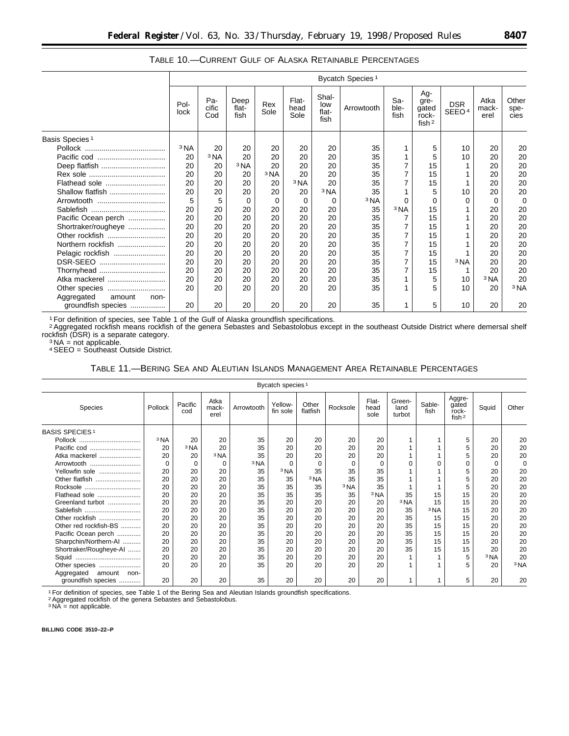|                              | Bycatch Species <sup>1</sup> |                     |                       |                 |                       |                               |                 |                     |                                           |                                 |                       |                       |
|------------------------------|------------------------------|---------------------|-----------------------|-----------------|-----------------------|-------------------------------|-----------------|---------------------|-------------------------------------------|---------------------------------|-----------------------|-----------------------|
|                              | Pol-<br>lock                 | Pa-<br>cific<br>Cod | Deep<br>flat-<br>fish | Rex<br>Sole     | Flat-<br>head<br>Sole | Shal-<br>low<br>flat-<br>fish | Arrowtooth      | Sa-<br>ble-<br>fish | Ag-<br>gre-<br>gated<br>rock-<br>fish $2$ | <b>DSR</b><br>SEEO <sup>4</sup> | Atka<br>mack-<br>erel | Other<br>spe-<br>cies |
| Basis Species <sup>1</sup>   |                              |                     |                       |                 |                       |                               |                 |                     |                                           |                                 |                       |                       |
|                              | <sup>3</sup> NA              | 20                  | 20                    | 20              | 20                    | 20                            | 35              |                     | 5                                         | 10                              | 20                    | 20                    |
|                              | 20                           | <sup>3</sup> NA     | 20                    | 20              | 20                    | 20                            | 35              |                     | 5                                         | 10                              | 20                    | 20                    |
| Deep flatfish                | 20                           | 20                  | <sup>3</sup> NA       | 20              | 20                    | 20                            | 35              | 7                   | 15                                        |                                 | 20                    | 20                    |
|                              | 20                           | 20                  | 20                    | <sup>3</sup> NA | 20                    | 20                            | 35              | $\overline{7}$      | 15                                        |                                 | 20                    | 20                    |
| Flathead sole                | 20                           | 20                  | 20                    | 20              | <sup>3</sup> NA       | 20                            | 35              | 7                   | 15                                        |                                 | 20                    | 20                    |
| Shallow flatfish             | 20                           | 20                  | 20                    | 20              | 20                    | <sup>3</sup> NA               | 35              |                     | 5                                         | 10                              | 20                    | 20                    |
|                              | 5                            | 5                   | $\Omega$              | $\Omega$        | 0                     | 0                             | <sup>3</sup> NA | U                   | $\Omega$                                  | U                               | $\Omega$              | 0                     |
|                              | 20                           | 20                  | 20                    | 20              | 20                    | 20                            | 35              | <sup>3</sup> NA     | 15                                        |                                 | 20                    | 20                    |
| Pacific Ocean perch          | 20                           | 20                  | 20                    | 20              | 20                    | 20                            | 35              | 7                   | 15                                        |                                 | 20                    | 20                    |
| Shortraker/rougheye          | 20                           | 20                  | 20                    | 20              | 20                    | 20                            | 35              |                     | 15                                        |                                 | 20                    | 20                    |
| Other rockfish               | 20                           | 20                  | 20                    | 20              | 20                    | 20                            | 35              | 7                   | 15                                        |                                 | 20                    | 20                    |
| Northern rockfish            | 20                           | 20                  | 20                    | 20              | 20                    | 20                            | 35              | 7                   | 15                                        |                                 | 20                    | 20                    |
| Pelagic rockfish             | 20                           | 20                  | 20                    | 20              | 20                    | 20                            | 35              | $\overline{7}$      | 15                                        |                                 | 20                    | 20                    |
| DSR-SEEO                     | 20                           | 20                  | 20                    | 20              | 20                    | 20                            | 35              | 7                   | 15                                        | <sup>3</sup> NA                 | 20                    | 20                    |
| Thornyhead                   | 20                           | 20                  | 20                    | 20              | 20                    | 20                            | 35              | $\overline{7}$      | 15                                        |                                 | 20                    | 20                    |
| Atka mackerel                | 20                           | 20                  | 20                    | 20              | 20                    | 20                            | 35              | 1                   | 5                                         | 10                              | 3 <sub>NA</sub>       | 20                    |
| Other species                | 20                           | 20                  | 20                    | 20              | 20                    | 20                            | 35              |                     | 5                                         | 10                              | 20                    | 3 <sub>NA</sub>       |
| Aggregated<br>amount<br>non- |                              |                     |                       |                 |                       |                               |                 |                     |                                           |                                 |                       |                       |
| groundfish species           | 20                           | 20                  | 20                    | 20              | 20                    | 20                            | 35              |                     | 5                                         | 10                              | 20                    | 20                    |

TABLE 10.—CURRENT GULF OF ALASKA RETAINABLE PERCENTAGES

<sup>1</sup> For definition of species, see Table 1 of the Gulf of Alaska groundfish specifications.

2Aggregated rockfish means rockfish of the genera Sebastes and Sebastolobus except in the southeast Outside District where demersal shelf rockfish (DSR) is a separate category.<br><sup>3</sup> NA = not applicable.

4SEEO = Southeast Outside District.

TABLE 11.—BERING SEA AND ALEUTIAN ISLANDS MANAGEMENT AREA RETAINABLE PERCENTAGES

|                              |                 |                 |                       |                 | Bycatch species <sup>1</sup> |                   |                 |                       |                          |                 |                                               |                 |                 |
|------------------------------|-----------------|-----------------|-----------------------|-----------------|------------------------------|-------------------|-----------------|-----------------------|--------------------------|-----------------|-----------------------------------------------|-----------------|-----------------|
| Species                      | Pollock         | Pacific<br>cod  | Atka<br>mack-<br>erel | Arrowtooth      | Yellow-<br>fin sole          | Other<br>flatfish | Rocksole        | Flat-<br>head<br>sole | Green-<br>land<br>turbot | Sable-<br>fish  | Aggre-<br>gated<br>rock-<br>fish <sup>2</sup> | Squid           | Other           |
| <b>BASIS SPECIES1</b>        |                 |                 |                       |                 |                              |                   |                 |                       |                          |                 |                                               |                 |                 |
| Pollock                      | <sup>3</sup> NA | 20              | 20                    | 35              | 20                           | 20                | 20              | 20                    |                          |                 | 5                                             | 20              | 20              |
| Pacific cod                  | 20              | <sup>3</sup> NA | 20                    | 35              | 20                           | 20                | 20              | 20                    |                          |                 | 5                                             | 20              | 20              |
| Atka mackerel                | 20              | 20              | <sup>3</sup> NA       | 35              | 20                           | 20                | 20              | 20                    |                          |                 | 5                                             | 20              | 20              |
| Arrowtooth                   |                 | 0               | $\Omega$              | <sup>3</sup> NA | $\Omega$                     | $\Omega$          | $\Omega$        | $\Omega$              |                          |                 |                                               | $\Omega$        | $\Omega$        |
| Yellowfin sole               | 20              | 20              | 20                    | 35              | <sup>3</sup> NA              | 35                | 35              | 35                    |                          |                 |                                               | 20              | 20              |
| Other flatfish               | 20              | 20              | 20                    | 35              | 35                           | <sup>3</sup> NA   | 35              | 35                    |                          |                 |                                               | 20              | 20              |
| Rocksole                     | 20              | 20              | 20                    | 35              | 35                           | 35                | <sup>3</sup> NA | 35                    |                          |                 | 5                                             | 20              | 20              |
| Flathead sole                | 20              | 20              | 20                    | 35              | 35                           | 35                | 35              | 3 <sub>NA</sub>       | 35                       | 15              | 15                                            | 20              | 20              |
| Greenland turbot             | 20              | 20              | 20                    | 35              | 20                           | 20                | 20              | 20                    | <sup>3</sup> NA          | 15              | 15                                            | 20              | 20              |
| Sablefish                    | 20              | 20              | 20                    | 35              | 20                           | 20                | 20              | 20                    | 35                       | <sup>3</sup> NA | 15                                            | 20              | 20              |
| Other rockfish               | 20              | 20              | 20                    | 35              | 20                           | 20                | 20              | 20                    | 35                       | 15              | 15                                            | 20              | 20              |
| Other red rockfish-BS        | 20              | 20              | 20                    | 35              | 20                           | 20                | 20              | 20                    | 35                       | 15              | 15                                            | 20              | 20              |
| Pacific Ocean perch          | 20              | 20              | 20                    | 35              | 20                           | 20                | 20              | 20                    | 35                       | 15              | 15                                            | 20              | 20              |
| Sharpchin/Northern-AI        | 20              | 20              | 20                    | 35              | 20                           | 20                | 20              | 20                    | 35                       | 15              | 15                                            | 20              | 20              |
| Shortraker/Rougheye-AI       | 20              | 20              | 20                    | 35              | 20                           | 20                | 20              | 20                    | 35                       | 15              | 15                                            | 20              | 20              |
|                              | 20              | 20              | 20                    | 35              | 20                           | 20                | 20              | 20                    |                          |                 | 5                                             | <sup>3</sup> NA | 20              |
| Other species                | 20              | 20              | 20                    | 35              | 20                           | 20                | 20              | 20                    |                          |                 | 5                                             | 20              | <sup>3</sup> NA |
| Aggregated<br>amount<br>non- |                 |                 |                       |                 |                              |                   |                 |                       |                          |                 |                                               |                 |                 |
| groundfish species           | 20              | 20              | 20                    | 35              | 20                           | 20                | 20              | 20                    |                          |                 | 5                                             | 20              | 20              |

1For definition of species, see Table 1 of the Bering Sea and Aleutian Islands groundfish specifications. 2Aggregated rockfish of the genera Sebastes and Sebastolobus. 3 NA = not applicable.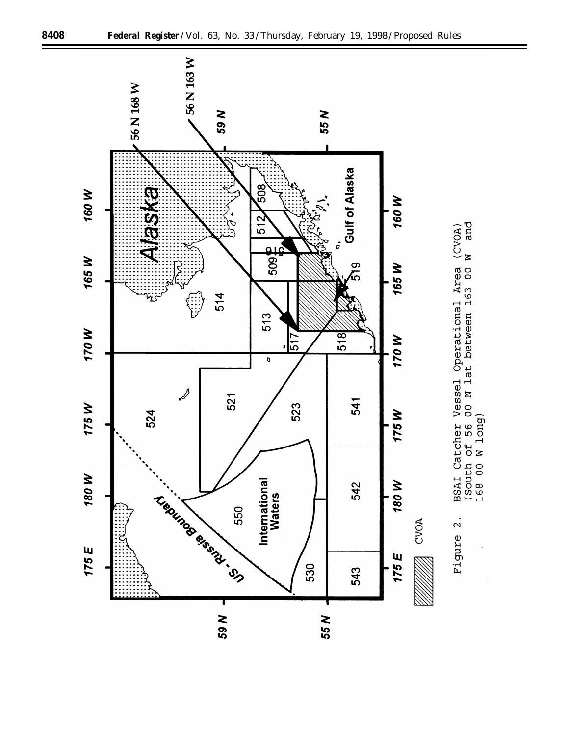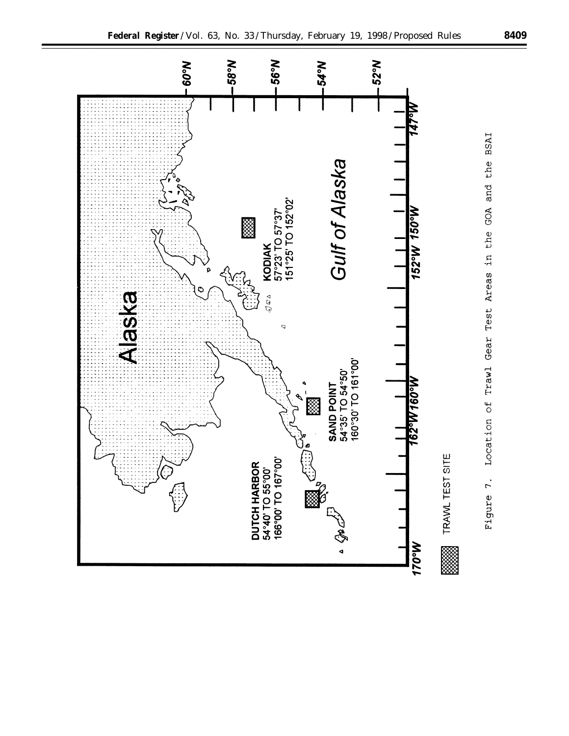

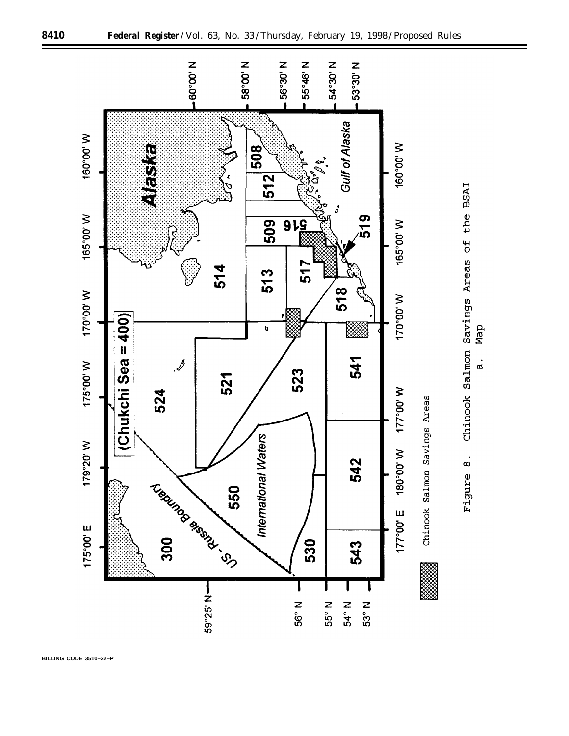

Map

 $\dot{a}$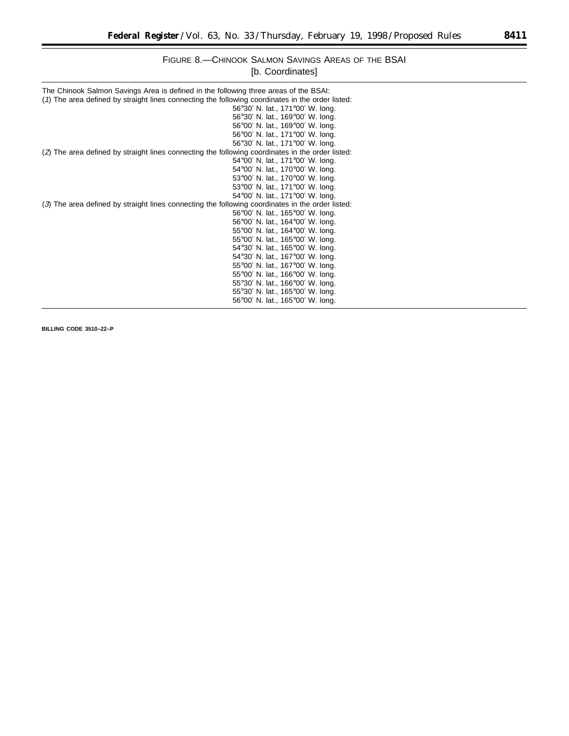# FIGURE 8.—CHINOOK SALMON SAVINGS AREAS OF THE BSAI [b. Coordinates]

| The Chinook Salmon Savings Area is defined in the following three areas of the BSAI:<br>(1) The area defined by straight lines connecting the following coordinates in the order listed: |                                  |
|------------------------------------------------------------------------------------------------------------------------------------------------------------------------------------------|----------------------------------|
|                                                                                                                                                                                          |                                  |
|                                                                                                                                                                                          | 56°30′ N. lat., 171°00′ W. long. |
|                                                                                                                                                                                          | 56°30' N. lat., 169°00' W. long. |
|                                                                                                                                                                                          | 56°00' N. lat., 169°00' W. long. |
|                                                                                                                                                                                          | 56°00' N. lat., 171°00' W. long. |
|                                                                                                                                                                                          | 56°30' N. lat., 171°00' W. long. |
| (2) The area defined by straight lines connecting the following coordinates in the order listed:                                                                                         |                                  |
|                                                                                                                                                                                          | 54°00′ N. lat., 171°00′ W. long. |
|                                                                                                                                                                                          | 54°00' N. lat., 170°00' W. long. |
|                                                                                                                                                                                          | 53°00' N. lat., 170°00' W. long. |
|                                                                                                                                                                                          | 53°00' N. lat., 171°00' W. long. |
|                                                                                                                                                                                          | 54°00′ N. lat., 171°00′ W. long. |
| (3) The area defined by straight lines connecting the following coordinates in the order listed:                                                                                         |                                  |
|                                                                                                                                                                                          | 56°00' N. lat., 165°00' W. long. |
|                                                                                                                                                                                          | 56°00′ N. lat., 164°00′ W. long. |
|                                                                                                                                                                                          | 55°00' N. lat., 164°00' W. long. |
|                                                                                                                                                                                          | 55°00' N. lat., 165°00' W. long. |
|                                                                                                                                                                                          | 54°30′ N. lat., 165°00′ W. long. |
|                                                                                                                                                                                          |                                  |
|                                                                                                                                                                                          | 54°30' N. lat., 167°00' W. long. |
|                                                                                                                                                                                          | 55°00' N. lat., 167°00' W. long. |
|                                                                                                                                                                                          | 55°00' N. lat., 166°00' W. long. |
|                                                                                                                                                                                          | 55°30' N. lat., 166°00' W. long. |
|                                                                                                                                                                                          | 55°30′ N. lat., 165°00′ W. long. |
|                                                                                                                                                                                          | 56°00' N. lat., 165°00' W. long. |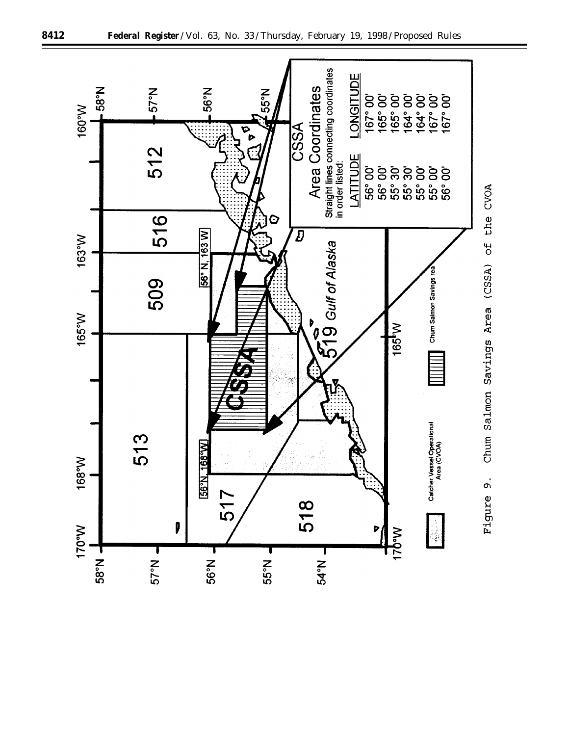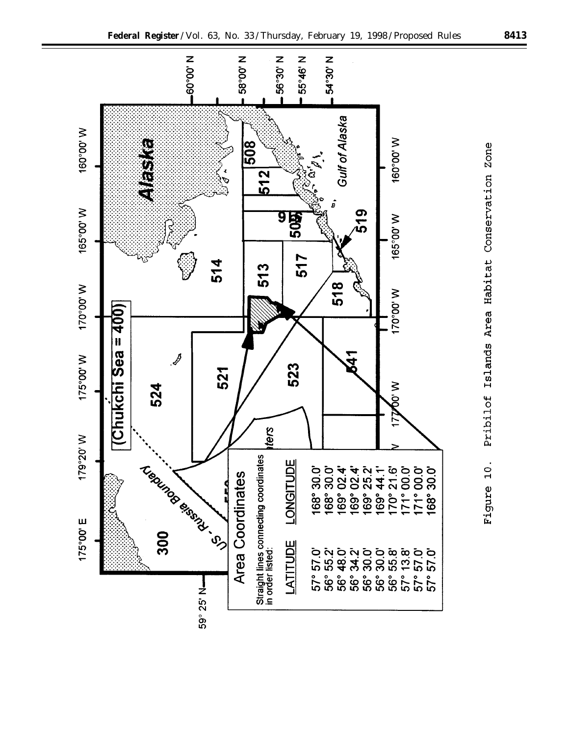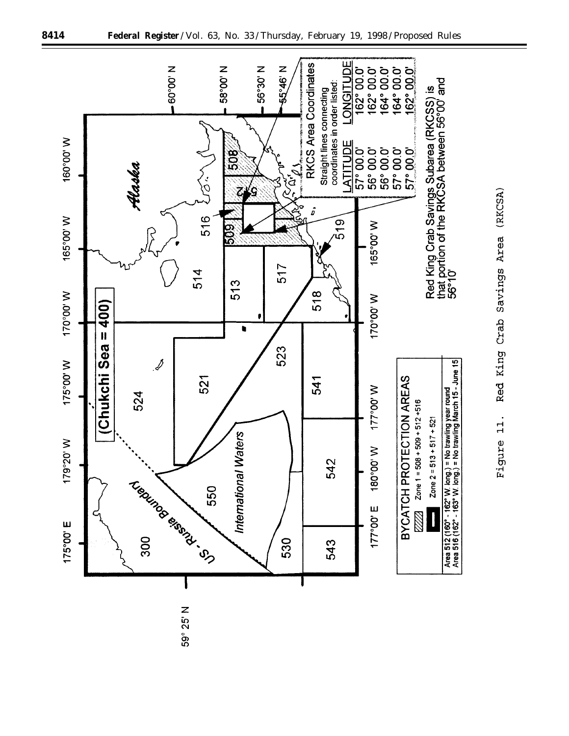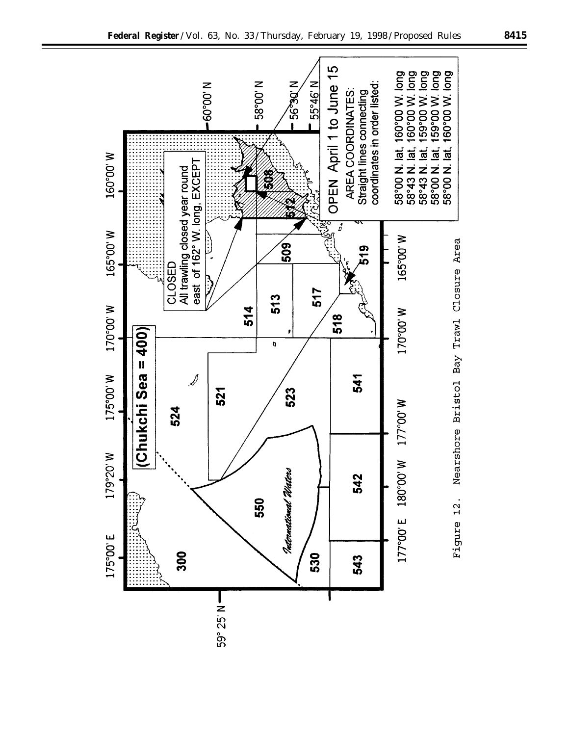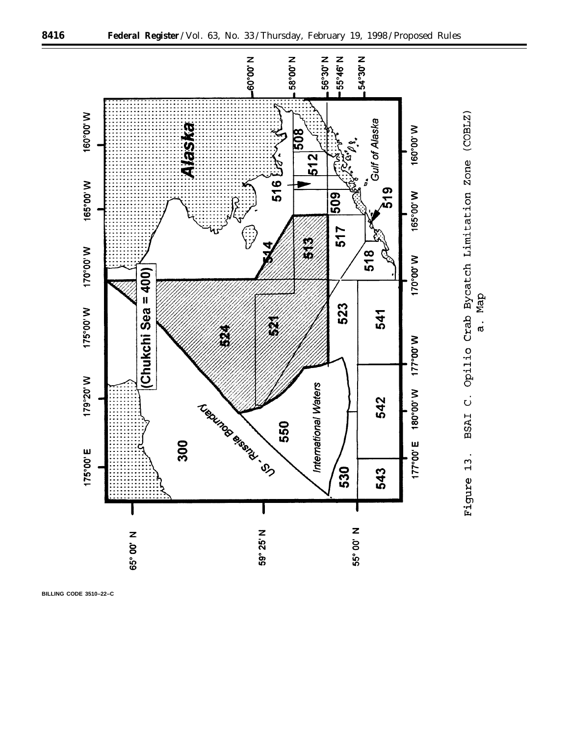

a. Map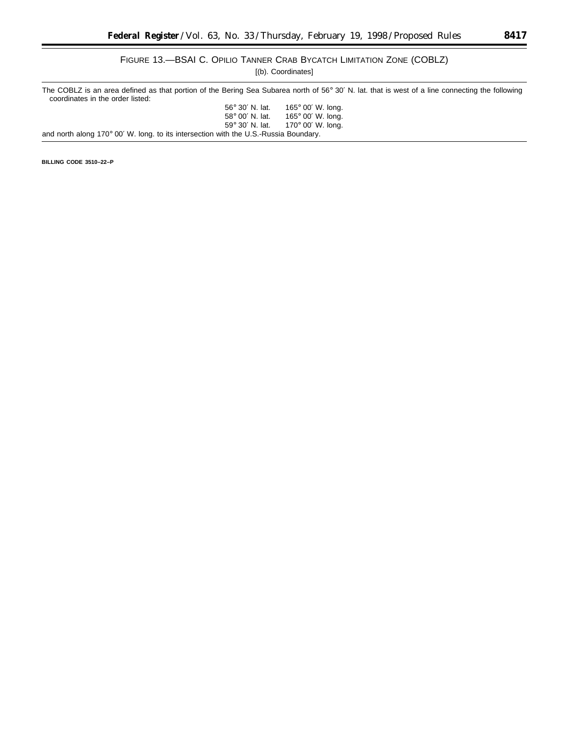۲

# FIGURE 13.—BSAI C. OPILIO TANNER CRAB BYCATCH LIMITATION ZONE (COBLZ)

[(b). Coordinates]

The COBLZ is an area defined as that portion of the Bering Sea Subarea north of 56° 30' N. lat. that is west of a line connecting the following coordinates in the order listed: 56° 30′ N. lat. 165° 00′ W. long.

| 58° 00' N. lat.                                                                      | 165 $^{\circ}$ 00' W. long. |
|--------------------------------------------------------------------------------------|-----------------------------|
| 59° 30′ N. lat.                                                                      | 170 $^{\circ}$ 00' W. long. |
| and north along 170° 00' W. long. to its intersection with the U.S.-Russia Boundary. |                             |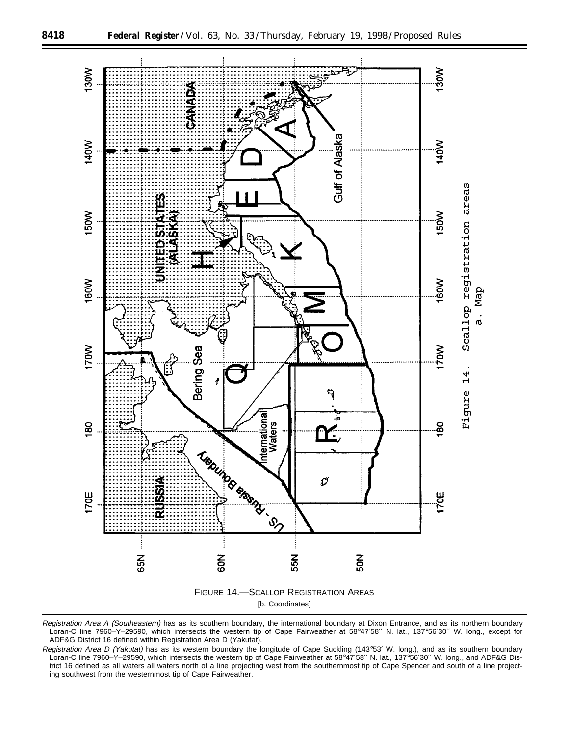

Registration Area A (Southeastern) has as its southern boundary, the international boundary at Dixon Entrance, and as its northern boundary Loran-C line 7960–Y–29590, which intersects the western tip of Cape Fairweather at 58°47′58′′ N. lat., 137°56′30′′ W. long., except for ADF&G District 16 defined within Registration Area D (Yakutat).

Registration Area D (Yakutat) has as its western boundary the longitude of Cape Suckling (143°53' W. long.), and as its southern boundary Loran-C line 7960–Y–29590, which intersects the western tip of Cape Fairweather at 58°47′58′′ N. lat., 137°56′30′′ W. long., and ADF&G District 16 defined as all waters all waters north of a line projecting west from the southernmost tip of Cape Spencer and south of a line projecting southwest from the westernmost tip of Cape Fairweather.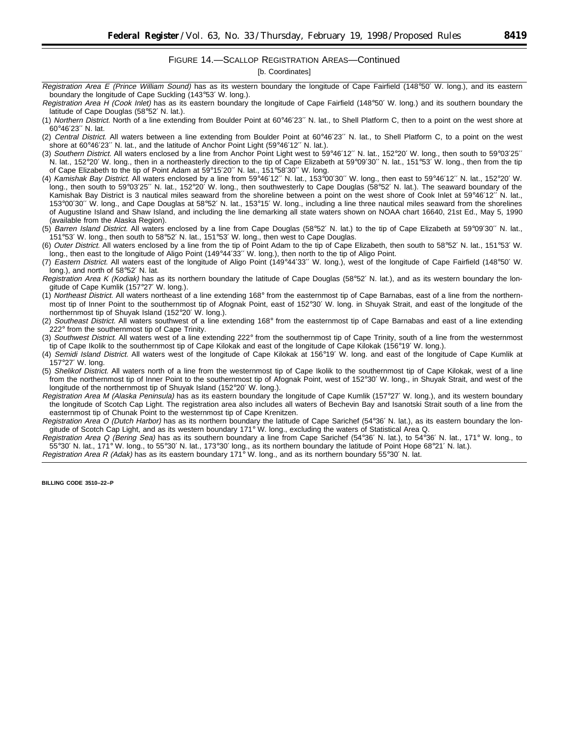## FIGURE 14.—SCALLOP REGISTRATION AREAS—Continued

[b. Coordinates]

- Registration Area H (Cook Inlet) has as its eastern boundary the longitude of Cape Fairfield (148°50′ W. long.) and its southern boundary the latitude of Cape Douglas (58°52′ N. lat.).
- (1) Northern District. North of a line extending from Boulder Point at 60°46′23′′ N. lat., to Shell Platform C, then to a point on the west shore at 60°46′23′′ N. lat.
- (2) Central District. All waters between a line extending from Boulder Point at 60°46′23′′ N. lat., to Shell Platform C, to a point on the west shore at 60°46′23′′ N. lat., and the latitude of Anchor Point Light (59°46′12′′ N. lat.).
- (3) Southern District. All waters enclosed by a line from Anchor Point Light west to 59°46′12′′ N. lat., 152°20′ W. long., then south to 59°03′25′′ N. lat., 152°20′ W. long., then in a northeasterly direction to the tip of Cape Elizabeth at 59°09′30′′ N. lat., 151°53′ W. long., then from the tip of Cape Elizabeth to the tip of Point Adam at 59°15′20′′ N. lat., 151°58′30′′ W. long.
- (4) Kamishak Bay District. All waters enclosed by a line from 59°46′12′′ N. lat., 153°00′30′′ W. long., then east to 59°46′12′′ N. lat., 152°20′ W. long., then south to 59°03′25′′ N. lat., 152°20′ W. long., then southwesterly to Cape Douglas (58°52′ N. lat.). The seaward boundary of the Kamishak Bay District is 3 nautical miles seaward from the shoreline between a point on the west shore of Cook Inlet at 59°46'12" N. lat., 153°00′30′′ W. long., and Cape Douglas at 58°52′ N. lat., 153°15′ W. long., including a line three nautical miles seaward from the shorelines of Augustine Island and Shaw Island, and including the line demarking all state waters shown on NOAA chart 16640, 21st Ed., May 5, 1990 (available from the Alaska Region).
- (5) Barren Island District. All waters enclosed by a line from Cape Douglas (58°52′ N. lat.) to the tip of Cape Elizabeth at 59°09′30′′ N. lat., 151°53′ W. long., then south to 58°52′ N. lat., 151°53′ W. long., then west to Cape Douglas.
- (6) Outer District. All waters enclosed by a line from the tip of Point Adam to the tip of Cape Elizabeth, then south to 58°52′ N. lat., 151°53′ W. long., then east to the longitude of Aligo Point (149°44′33′′ W. long.), then north to the tip of Aligo Point.
- (7) Eastern District. All waters east of the longitude of Aligo Point (149°44′33′′ W. long.), west of the longitude of Cape Fairfield (148°50′ W. long.), and north of 58°52′ N. lat.
- Registration Area K (Kodiak) has as its northern boundary the latitude of Cape Douglas (58°52′ N. lat.), and as its western boundary the longitude of Cape Kumlik (157°27′ W. long.).
- (1) Northeast District. All waters northeast of a line extending 168° from the easternmost tip of Cape Barnabas, east of a line from the northernmost tip of Inner Point to the southernmost tip of Afognak Point, east of 152°30′ W. long. in Shuyak Strait, and east of the longitude of the northernmost tip of Shuyak Island (152°20′ W. long.).
- (2) Southeast District. All waters southwest of a line extending 168° from the easternmost tip of Cape Barnabas and east of a line extending 222° from the southernmost tip of Cape Trinity.
- (3) Southwest District. All waters west of a line extending 222° from the southernmost tip of Cape Trinity, south of a line from the westernmost tip of Cape Ikolik to the southernmost tip of Cape Kilokak and east of the longitude of Cape Kilokak (156°19′ W. long.).
- (4) Semidi Island District. All waters west of the longitude of Cape Kilokak at 156°19′ W. long. and east of the longitude of Cape Kumlik at 157°27′ W. long.
- (5) Shelikof District. All waters north of a line from the westernmost tip of Cape Ikolik to the southernmost tip of Cape Kilokak, west of a line from the northernmost tip of Inner Point to the southernmost tip of Afognak Point, west of 152°30′ W. long., in Shuyak Strait, and west of the longitude of the northernmost tip of Shuyak Island (152°20′ W. long.).
- Registration Area M (Alaska Peninsula) has as its eastern boundary the longitude of Cape Kumlik (157°27′ W. long.), and its western boundary the longitude of Scotch Cap Light. The registration area also includes all waters of Bechevin Bay and Isanotski Strait south of a line from the easternmost tip of Chunak Point to the westernmost tip of Cape Krenitzen.
- Registration Area O (Dutch Harbor) has as its northern boundary the latitude of Cape Sarichef (54°36' N. lat.), as its eastern boundary the longitude of Scotch Cap Light, and as its western boundary 171° W. long., excluding the waters of Statistical Area Q.
- Registration Area Q (Bering Sea) has as its southern boundary a line from Cape Sarichef (54°36′ N. lat.), to 54°36′ N. lat., 171° W. long., to 55°30′ N. lat., 171° W. long., to 55°30′ N. lat., 173°30′ long., as its northern boundary the latitude of Point Hope 68°21′ N. lat.).

Registration Area R (Adak) has as its eastern boundary 171° W. long., and as its northern boundary 55°30' N. lat.

Registration Area E (Prince William Sound) has as its western boundary the longitude of Cape Fairfield (148°50' W. long.), and its eastern boundary the longitude of Cape Suckling (143°53′ W. long.).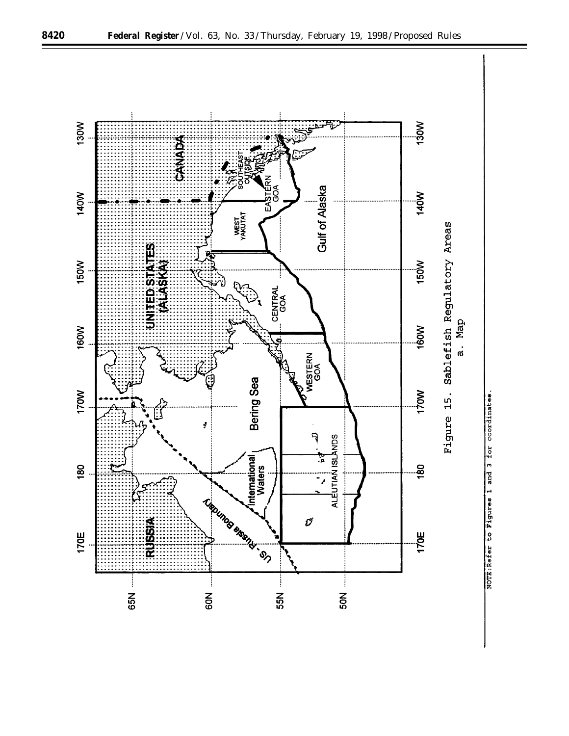![](_page_31_Figure_0.jpeg)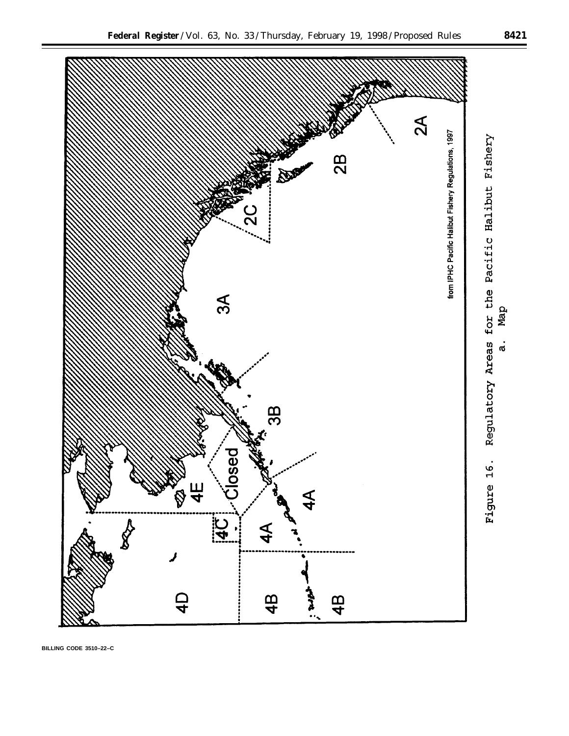![](_page_32_Figure_1.jpeg)

**BILLING CODE 3510–22–C**

Map

 $\dot{a}$